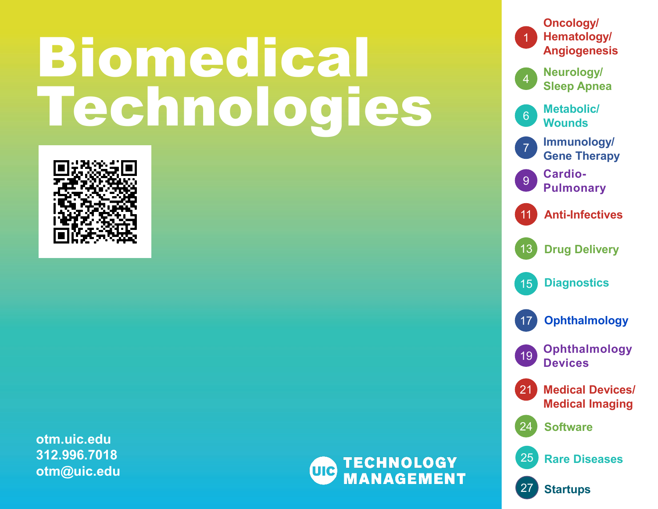# Biomedical Technologies



**otm.uic.edu 312.996.7018 otm@uic.edu**



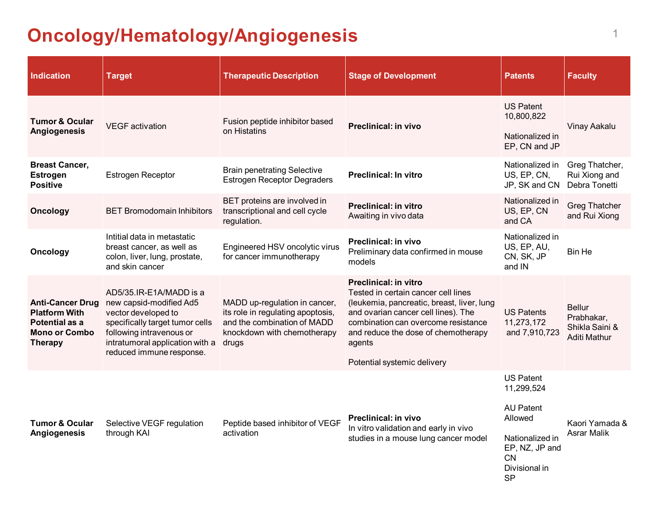# <span id="page-1-0"></span>**Oncology/Hematology/Angiogenesis** <sup>1</sup>

| <b>Indication</b>                                                                                           | <b>Target</b>                                                                                                                                                                                           | <b>Therapeutic Description</b>                                                                                                            | <b>Stage of Development</b>                                                                                                                                                                                                                                                     | <b>Patents</b>                                                                                                                                | <b>Faculty</b>                                                |
|-------------------------------------------------------------------------------------------------------------|---------------------------------------------------------------------------------------------------------------------------------------------------------------------------------------------------------|-------------------------------------------------------------------------------------------------------------------------------------------|---------------------------------------------------------------------------------------------------------------------------------------------------------------------------------------------------------------------------------------------------------------------------------|-----------------------------------------------------------------------------------------------------------------------------------------------|---------------------------------------------------------------|
| <b>Tumor &amp; Ocular</b><br>Angiogenesis                                                                   | <b>VEGF</b> activation                                                                                                                                                                                  | Fusion peptide inhibitor based<br>on Histatins                                                                                            | <b>Preclinical: in vivo</b>                                                                                                                                                                                                                                                     | <b>US Patent</b><br>10,800,822<br>Nationalized in<br>EP, CN and JP                                                                            | Vinay Aakalu                                                  |
| <b>Breast Cancer,</b><br><b>Estrogen</b><br><b>Positive</b>                                                 | <b>Estrogen Receptor</b>                                                                                                                                                                                | <b>Brain penetrating Selective</b><br><b>Estrogen Receptor Degraders</b>                                                                  | <b>Preclinical: In vitro</b>                                                                                                                                                                                                                                                    | Nationalized in<br>US, EP, CN,<br>JP, SK and CN                                                                                               | Greg Thatcher,<br>Rui Xiong and<br>Debra Tonetti              |
| <b>Oncology</b>                                                                                             | <b>BET Bromodomain Inhibitors</b>                                                                                                                                                                       | BET proteins are involved in<br>transcriptional and cell cycle<br>regulation.                                                             | <b>Preclinical: in vitro</b><br>Awaiting in vivo data                                                                                                                                                                                                                           | Nationalized in<br>US, EP, CN<br>and CA                                                                                                       | <b>Greg Thatcher</b><br>and Rui Xiong                         |
| <b>Oncology</b>                                                                                             | Intitial data in metastatic<br>breast cancer, as well as<br>colon, liver, lung, prostate,<br>and skin cancer                                                                                            | Engineered HSV oncolytic virus<br>for cancer immunotherapy                                                                                | Preclinical: in vivo<br>Preliminary data confirmed in mouse<br>models                                                                                                                                                                                                           | Nationalized in<br>US, EP, AU,<br>CN, SK, JP<br>and IN                                                                                        | <b>Bin He</b>                                                 |
| <b>Anti-Cancer Drug</b><br><b>Platform With</b><br>Potential as a<br><b>Mono or Combo</b><br><b>Therapy</b> | AD5/35.IR-E1A/MADD is a<br>new capsid-modified Ad5<br>vector developed to<br>specifically target tumor cells<br>following intravenous or<br>intratumoral application with a<br>reduced immune response. | MADD up-regulation in cancer,<br>its role in regulating apoptosis,<br>and the combination of MADD<br>knockdown with chemotherapy<br>drugs | <b>Preclinical: in vitro</b><br>Tested in certain cancer cell lines<br>(leukemia, pancreatic, breast, liver, lung<br>and ovarian cancer cell lines). The<br>combination can overcome resistance<br>and reduce the dose of chemotherapy<br>agents<br>Potential systemic delivery | <b>US Patents</b><br>11,273,172<br>and 7,910,723                                                                                              | <b>Bellur</b><br>Prabhakar,<br>Shikla Saini &<br>Aditi Mathur |
| <b>Tumor &amp; Ocular</b><br>Angiogenesis                                                                   | Selective VEGF regulation<br>through KAI                                                                                                                                                                | Peptide based inhibitor of VEGF<br>activation                                                                                             | Preclinical: in vivo<br>In vitro validation and early in vivo<br>studies in a mouse lung cancer model                                                                                                                                                                           | <b>US Patent</b><br>11,299,524<br><b>AU Patent</b><br>Allowed<br>Nationalized in<br>EP, NZ, JP and<br><b>CN</b><br>Divisional in<br><b>SP</b> | Kaori Yamada &<br>Asrar Malik                                 |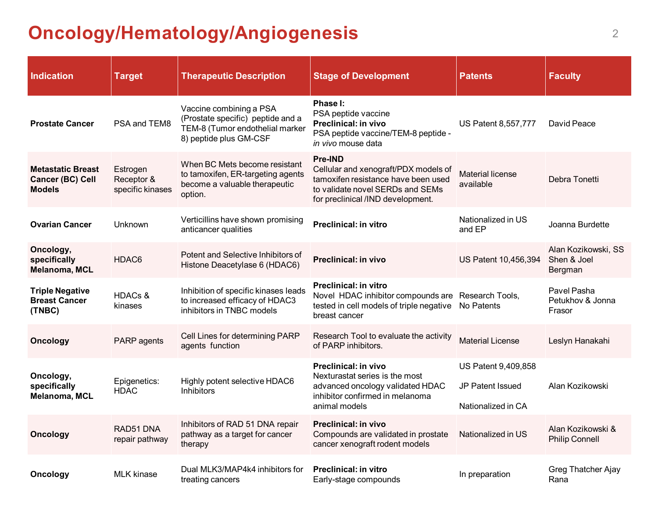# **Oncology/Hematology/Angiogenesis** <sup>2</sup>

| <b>Indication</b>                                                    | <b>Target</b>                              | <b>Therapeutic Description</b>                                                                                            | <b>Stage of Development</b>                                                                                                                                     | <b>Patents</b>                                                       | <b>Faculty</b>                                |
|----------------------------------------------------------------------|--------------------------------------------|---------------------------------------------------------------------------------------------------------------------------|-----------------------------------------------------------------------------------------------------------------------------------------------------------------|----------------------------------------------------------------------|-----------------------------------------------|
| <b>Prostate Cancer</b>                                               | PSA and TEM8                               | Vaccine combining a PSA<br>(Prostate specific) peptide and a<br>TEM-8 (Tumor endothelial marker<br>8) peptide plus GM-CSF | Phase I:<br>PSA peptide vaccine<br><b>Preclinical: in vivo</b><br>PSA peptide vaccine/TEM-8 peptide -<br>in vivo mouse data                                     | <b>US Patent 8,557,777</b>                                           | David Peace                                   |
| <b>Metastatic Breast</b><br><b>Cancer (BC) Cell</b><br><b>Models</b> | Estrogen<br>Receptor &<br>specific kinases | When BC Mets become resistant<br>to tamoxifen, ER-targeting agents<br>become a valuable therapeutic<br>option.            | Pre-IND<br>Cellular and xenograft/PDX models of<br>tamoxifen resistance have been used<br>to validate novel SERDs and SEMs<br>for preclinical /IND development. | <b>Material license</b><br>available                                 | Debra Tonetti                                 |
| <b>Ovarian Cancer</b>                                                | Unknown                                    | Verticillins have shown promising<br>anticancer qualities                                                                 | <b>Preclinical: in vitro</b>                                                                                                                                    | Nationalized in US<br>and EP                                         | Joanna Burdette                               |
| Oncology,<br>specifically<br>Melanoma, MCL                           | HDAC6                                      | Potent and Selective Inhibitors of<br>Histone Deacetylase 6 (HDAC6)                                                       | <b>Preclinical: in vivo</b>                                                                                                                                     | US Patent 10,456,394                                                 | Alan Kozikowski, SS<br>Shen & Joel<br>Bergman |
| <b>Triple Negative</b><br><b>Breast Cancer</b><br>(TNBC)             | <b>HDACs &amp;</b><br>kinases              | Inhibition of specific kinases leads<br>to increased efficacy of HDAC3<br>inhibitors in TNBC models                       | <b>Preclinical: in vitro</b><br>Novel HDAC inhibitor compounds are Research Tools,<br>tested in cell models of triple negative No Patents<br>breast cancer      |                                                                      | Pavel Pasha<br>Petukhov & Jonna<br>Frasor     |
| <b>Oncology</b>                                                      | PARP agents                                | Cell Lines for determining PARP<br>agents function                                                                        | Research Tool to evaluate the activity<br>of PARP inhibitors.                                                                                                   | <b>Material License</b>                                              | Leslyn Hanakahi                               |
| Oncology,<br>specifically<br>Melanoma, MCL                           | Epigenetics:<br><b>HDAC</b>                | Highly potent selective HDAC6<br><b>Inhibitors</b>                                                                        | Preclinical: in vivo<br>Nexturastat series is the most<br>advanced oncology validated HDAC<br>inhibitor confirmed in melanoma<br>animal models                  | US Patent 9,409,858<br><b>JP Patent Issued</b><br>Nationalized in CA | Alan Kozikowski                               |
| <b>Oncology</b>                                                      | RAD51 DNA<br>repair pathway                | Inhibitors of RAD 51 DNA repair<br>pathway as a target for cancer<br>therapy                                              | Preclinical: in vivo<br>Compounds are validated in prostate<br>cancer xenograft rodent models                                                                   | Nationalized in US                                                   | Alan Kozikowski &<br><b>Philip Connell</b>    |
| Oncology                                                             | <b>MLK</b> kinase                          | Dual MLK3/MAP4k4 inhibitors for<br>treating cancers                                                                       | <b>Preclinical: in vitro</b><br>Early-stage compounds                                                                                                           | In preparation                                                       | <b>Greg Thatcher Ajay</b><br>Rana             |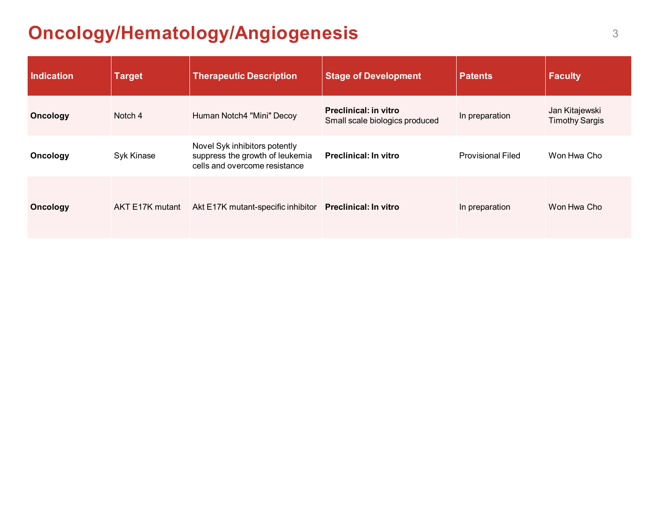# **Oncology/Hematology/Angiogenesis** 3

| <b>Indication</b> | <b>Target</b>   | <b>Therapeutic Description</b>                                                                    | <b>Stage of Development</b>                                    | <b>Patents</b>           | <b>Faculty</b>                          |
|-------------------|-----------------|---------------------------------------------------------------------------------------------------|----------------------------------------------------------------|--------------------------|-----------------------------------------|
| <b>Oncology</b>   | Notch 4         | Human Notch4 "Mini" Decoy                                                                         | <b>Preclinical: in vitro</b><br>Small scale biologics produced | In preparation           | Jan Kitajewski<br><b>Timothy Sargis</b> |
| Oncology          | Syk Kinase      | Novel Syk inhibitors potently<br>suppress the growth of leukemia<br>cells and overcome resistance | <b>Preclinical: In vitro</b>                                   | <b>Provisional Filed</b> | Won Hwa Cho                             |
| <b>Oncology</b>   | AKT E17K mutant | Akt E17K mutant-specific inhibitor                                                                | <b>Preclinical: In vitro</b>                                   | In preparation           | Won Hwa Cho                             |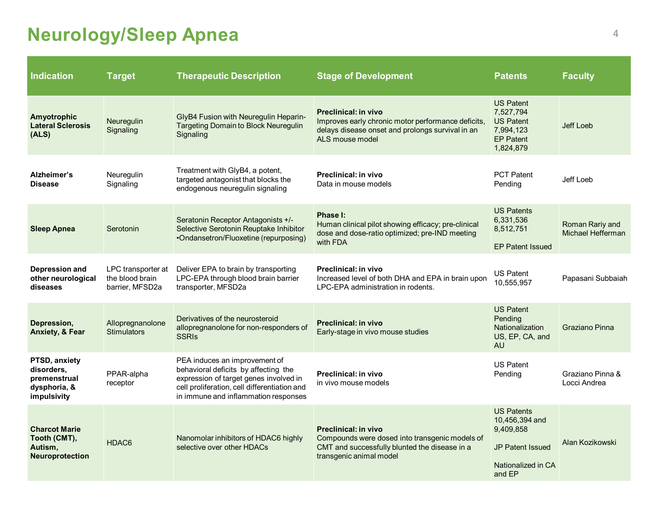# <span id="page-4-0"></span>**Neurology/Sleep Apnea** <sup>4</sup>

| <b>Indication</b>                                                          | <b>Target</b>                                            | <b>Therapeutic Description</b>                                                                                                                                                                          | <b>Stage of Development</b>                                                                                                                              | <b>Patents</b>                                                                                              | <b>Faculty</b>                       |
|----------------------------------------------------------------------------|----------------------------------------------------------|---------------------------------------------------------------------------------------------------------------------------------------------------------------------------------------------------------|----------------------------------------------------------------------------------------------------------------------------------------------------------|-------------------------------------------------------------------------------------------------------------|--------------------------------------|
| Amyotrophic<br><b>Lateral Sclerosis</b><br>(ALS)                           | Neuregulin<br>Signaling                                  | GlyB4 Fusion with Neuregulin Heparin-<br><b>Targeting Domain to Block Neuregulin</b><br>Signaling                                                                                                       | <b>Preclinical: in vivo</b><br>Improves early chronic motor performance deficits,<br>delays disease onset and prolongs survival in an<br>ALS mouse model | <b>US Patent</b><br>7,527,794<br><b>US Patent</b><br>7,994,123<br><b>EP Patent</b><br>1,824,879             | Jeff Loeb                            |
| Alzheimer's<br><b>Disease</b>                                              | Neuregulin<br>Signaling                                  | Treatment with GlyB4, a potent,<br>targeted antagonist that blocks the<br>endogenous neuregulin signaling                                                                                               | Preclinical: in vivo<br>Data in mouse models                                                                                                             | <b>PCT Patent</b><br>Pending                                                                                | Jeff Loeb                            |
| <b>Sleep Apnea</b>                                                         | Serotonin                                                | Seratonin Receptor Antagonists +/-<br>Selective Serotonin Reuptake Inhibitor<br>•Ondansetron/Fluoxetine (repurposing)                                                                                   | Phase I:<br>Human clinical pilot showing efficacy; pre-clinical<br>dose and dose-ratio optimized; pre-IND meeting<br>with FDA                            | <b>US Patents</b><br>6,331,536<br>8,512,751<br><b>EP Patent Issued</b>                                      | Roman Rariy and<br>Michael Hefferman |
| Depression and<br>other neurological<br>diseases                           | LPC transporter at<br>the blood brain<br>barrier, MFSD2a | Deliver EPA to brain by transporting<br>LPC-EPA through blood brain barrier<br>transporter, MFSD2a                                                                                                      | Preclinical: in vivo<br>Increased level of both DHA and EPA in brain upon<br>LPC-EPA administration in rodents.                                          | US Patent<br>10,555,957                                                                                     | Papasani Subbaiah                    |
| Depression,<br><b>Anxiety, &amp; Fear</b>                                  | Allopregnanolone<br><b>Stimulators</b>                   | Derivatives of the neurosteroid<br>allopregnanolone for non-responders of<br><b>SSRIs</b>                                                                                                               | <b>Preclinical: in vivo</b><br>Early-stage in vivo mouse studies                                                                                         | <b>US Patent</b><br>Pending<br><b>Nationalization</b><br>US, EP, CA, and<br><b>AU</b>                       | Graziano Pinna                       |
| PTSD, anxiety<br>disorders,<br>premenstrual<br>dysphoria, &<br>impulsivity | PPAR-alpha<br>receptor                                   | PEA induces an improvement of<br>behavioral deficits by affecting the<br>expression of target genes involved in<br>cell proliferation, cell differentiation and<br>in immune and inflammation responses | Preclinical: in vivo<br>in vivo mouse models                                                                                                             | <b>US Patent</b><br>Pending                                                                                 | Graziano Pinna &<br>Locci Andrea     |
| <b>Charcot Marie</b><br>Tooth (CMT),<br>Autism,<br>Neuroprotection         | HDAC <sub>6</sub>                                        | Nanomolar inhibitors of HDAC6 highly<br>selective over other HDACs                                                                                                                                      | Preclinical: in vivo<br>Compounds were dosed into transgenic models of<br>CMT and successfully blunted the disease in a<br>transgenic animal model       | <b>US Patents</b><br>10,456,394 and<br>9,409,858<br><b>JP Patent Issued</b><br>Nationalized in CA<br>and EP | Alan Kozikowski                      |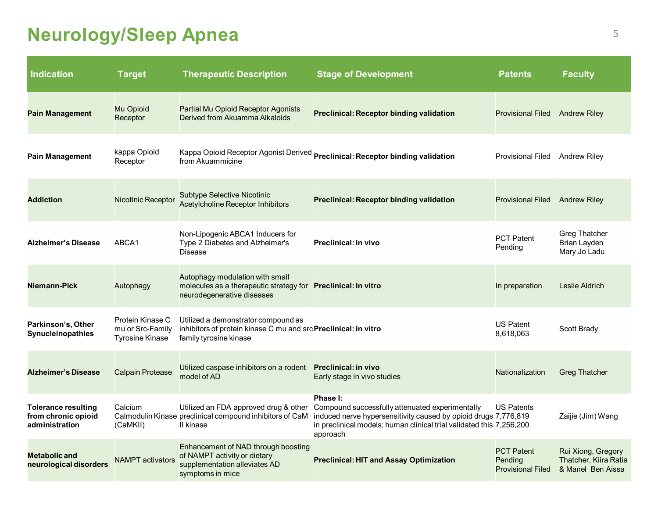#### **Neurology/Sleep Apnea** <sup>5</sup>

| <b>Indication</b>                                                   | <b>Target</b>                                                  | <b>Therapeutic Description</b>                                                                                                   | <b>Stage of Development</b>                                                                                                                                                                                        | <b>Patents</b>                                           | <b>Faculty</b>                                                   |
|---------------------------------------------------------------------|----------------------------------------------------------------|----------------------------------------------------------------------------------------------------------------------------------|--------------------------------------------------------------------------------------------------------------------------------------------------------------------------------------------------------------------|----------------------------------------------------------|------------------------------------------------------------------|
| <b>Pain Management</b>                                              | Mu Opioid<br>Receptor                                          | Partial Mu Opioid Receptor Agonists<br>Derived from Akuamma Alkaloids                                                            | <b>Preclinical: Receptor binding validation</b>                                                                                                                                                                    | <b>Provisional Filed</b>                                 | <b>Andrew Riley</b>                                              |
| Pain Management                                                     | kappa Opioid<br>Receptor                                       | from Akuammicine                                                                                                                 | Kappa Opioid Receptor Agonist Derived <b>Preclinical: Receptor binding validation</b>                                                                                                                              | <b>Provisional Filed</b>                                 | <b>Andrew Riley</b>                                              |
| <b>Addiction</b>                                                    | <b>Nicotinic Receptor</b>                                      | <b>Subtype Selective Nicotinic</b><br><b>Acetylcholine Receptor Inhibitors</b>                                                   | <b>Preclinical: Receptor binding validation</b>                                                                                                                                                                    | <b>Provisional Filed</b>                                 | <b>Andrew Riley</b>                                              |
| <b>Alzheimer's Disease</b>                                          | ABCA1                                                          | Non-Lipogenic ABCA1 Inducers for<br>Type 2 Diabetes and Alzheimer's<br><b>Disease</b>                                            | Preclinical: in vivo                                                                                                                                                                                               | <b>PCT Patent</b><br>Pending                             | Greg Thatcher<br><b>Brian Layden</b><br>Mary Jo Ladu             |
| Niemann-Pick                                                        | Autophagy                                                      | Autophagy modulation with small<br>molecules as a therapeutic strategy for Preclinical: in vitro<br>neurodegenerative diseases   |                                                                                                                                                                                                                    | In preparation                                           | Leslie Aldrich                                                   |
| Parkinson's, Other<br>Synucleinopathies                             | Protein Kinase C<br>mu or Src-Family<br><b>Tyrosine Kinase</b> | Utilized a demonstrator compound as<br>inhibitors of protein kinase C mu and src Preclinical: in vitro<br>family tyrosine kinase |                                                                                                                                                                                                                    | <b>US Patent</b><br>8,618,063                            | Scott Brady                                                      |
| <b>Alzheimer's Disease</b>                                          | <b>Calpain Protease</b>                                        | Utilized caspase inhibitors on a rodent<br>model of AD                                                                           | <b>Preclinical: in vivo</b><br>Early stage in vivo studies                                                                                                                                                         | Nationalization                                          | <b>Greg Thatcher</b>                                             |
| <b>Tolerance resulting</b><br>from chronic opioid<br>administration | Calcium<br>(CaMKII)                                            | Utilized an FDA approved drug & other<br>Calmodulin Kinase preclinical compound inhibitors of CaM<br>II kinase                   | Phase I:<br>Compound successfully attenuated experimentally<br>induced nerve hypersensitivity caused by opioid drugs 7,776,819<br>in preclinical models; human clinical trial validated this 7,256,200<br>approach | <b>US Patents</b>                                        | Zaijie (Jim) Wang                                                |
| <b>Metabolic and</b><br>neurological disorders                      | <b>NAMPT</b> activators                                        | Enhancement of NAD through boosting<br>of NAMPT activity or dietary<br>supplementation alleviates AD<br>symptoms in mice         | <b>Preclinical: HIT and Assay Optimization</b>                                                                                                                                                                     | <b>PCT Patent</b><br>Pending<br><b>Provisional Filed</b> | Rui Xiong, Gregory<br>Thatcher, Kiira Ratia<br>& Manel Ben Aissa |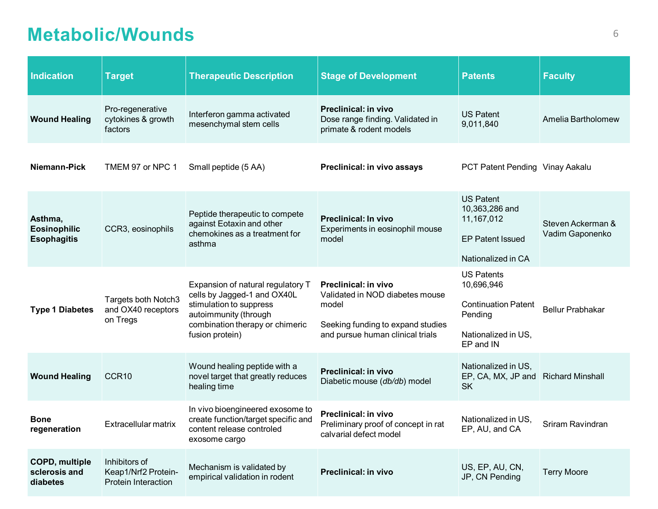#### <span id="page-6-0"></span>**Metabolic/Wounds** <sup>6</sup>

| <b>Indication</b>                                    | <b>Target</b>                                                | <b>Therapeutic Description</b>                                                                                                                                             | <b>Stage of Development</b>                                                                                                               | <b>Patents</b>                                                                                               | <b>Faculty</b>                       |
|------------------------------------------------------|--------------------------------------------------------------|----------------------------------------------------------------------------------------------------------------------------------------------------------------------------|-------------------------------------------------------------------------------------------------------------------------------------------|--------------------------------------------------------------------------------------------------------------|--------------------------------------|
| <b>Wound Healing</b>                                 | Pro-regenerative<br>cytokines & growth<br>factors            | Interferon gamma activated<br>mesenchymal stem cells                                                                                                                       | Preclinical: in vivo<br>Dose range finding. Validated in<br>primate & rodent models                                                       | <b>US Patent</b><br>9,011,840                                                                                | Amelia Bartholomew                   |
| Niemann-Pick                                         | TMEM 97 or NPC 1                                             | Small peptide (5 AA)                                                                                                                                                       | Preclinical: in vivo assays                                                                                                               | PCT Patent Pending Vinay Aakalu                                                                              |                                      |
| Asthma,<br><b>Eosinophilic</b><br><b>Esophagitis</b> | CCR3, eosinophils                                            | Peptide therapeutic to compete<br>against Eotaxin and other<br>chemokines as a treatment for<br>asthma                                                                     | <b>Preclinical: In vivo</b><br>Experiments in eosinophil mouse<br>model                                                                   | <b>US Patent</b><br>10,363,286 and<br>11,167,012<br><b>EP Patent Issued</b><br>Nationalized in CA            | Steven Ackerman &<br>Vadim Gaponenko |
| <b>Type 1 Diabetes</b>                               | <b>Targets both Notch3</b><br>and OX40 receptors<br>on Tregs | Expansion of natural regulatory T<br>cells by Jagged-1 and OX40L<br>stimulation to suppress<br>autoimmunity (through<br>combination therapy or chimeric<br>fusion protein) | Preclinical: in vivo<br>Validated in NOD diabetes mouse<br>model<br>Seeking funding to expand studies<br>and pursue human clinical trials | <b>US Patents</b><br>10,696,946<br><b>Continuation Patent</b><br>Pending<br>Nationalized in US,<br>EP and IN | <b>Bellur Prabhakar</b>              |
| <b>Wound Healing</b>                                 | CCR <sub>10</sub>                                            | Wound healing peptide with a<br>novel target that greatly reduces<br>healing time                                                                                          | <b>Preclinical: in vivo</b><br>Diabetic mouse (db/db) model                                                                               | Nationalized in US,<br>EP, CA, MX, JP and<br><b>SK</b>                                                       | <b>Richard Minshall</b>              |
| <b>Bone</b><br>regeneration                          | Extracellular matrix                                         | In vivo bioengineered exosome to<br>create function/target specific and<br>content release controled<br>exosome cargo                                                      | <b>Preclinical: in vivo</b><br>Preliminary proof of concept in rat<br>calvarial defect model                                              | Nationalized in US.<br>EP, AU, and CA                                                                        | Sriram Ravindran                     |
| <b>COPD, multiple</b><br>sclerosis and<br>diabetes   | Inhibitors of<br>Keap1/Nrf2 Protein-<br>Protein Interaction  | Mechanism is validated by<br>empirical validation in rodent                                                                                                                | <b>Preclinical: in vivo</b>                                                                                                               | US, EP, AU, CN,<br>JP, CN Pending                                                                            | <b>Terry Moore</b>                   |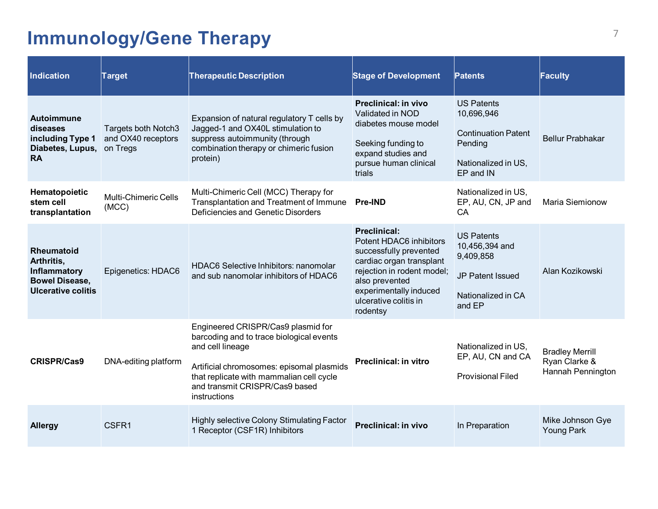# <span id="page-7-0"></span>**Immunology/Gene Therapy** 7

| <b>Indication</b>                                                                                     | <b>Target</b>                                         | <b>Therapeutic Description</b>                                                                                                                                                                                                                | <b>Stage of Development</b>                                                                                                                                                                                         | Patents                                                                                                      | Faculty                                                      |
|-------------------------------------------------------------------------------------------------------|-------------------------------------------------------|-----------------------------------------------------------------------------------------------------------------------------------------------------------------------------------------------------------------------------------------------|---------------------------------------------------------------------------------------------------------------------------------------------------------------------------------------------------------------------|--------------------------------------------------------------------------------------------------------------|--------------------------------------------------------------|
| Autoimmune<br>diseases<br>including Type 1<br>Diabetes, Lupus,<br><b>RA</b>                           | Targets both Notch3<br>and OX40 receptors<br>on Tregs | Expansion of natural regulatory T cells by<br>Jagged-1 and OX40L stimulation to<br>suppress autoimmunity (through<br>combination therapy or chimeric fusion<br>protein)                                                                       | Preclinical: in vivo<br>Validated in NOD<br>diabetes mouse model<br>Seeking funding to<br>expand studies and<br>pursue human clinical<br>trials                                                                     | <b>US Patents</b><br>10,696,946<br><b>Continuation Patent</b><br>Pending<br>Nationalized in US,<br>EP and IN | <b>Bellur Prabhakar</b>                                      |
| Hematopoietic<br>stem cell<br>transplantation                                                         | <b>Multi-Chimeric Cells</b><br>(MCC)                  | Multi-Chimeric Cell (MCC) Therapy for<br>Transplantation and Treatment of Immune<br>Deficiencies and Genetic Disorders                                                                                                                        | <b>Pre-IND</b>                                                                                                                                                                                                      | Nationalized in US,<br>EP, AU, CN, JP and<br>CA                                                              | Maria Siemionow                                              |
| <b>Rheumatoid</b><br>Arthritis,<br>Inflammatory<br><b>Bowel Disease,</b><br><b>Ulcerative colitis</b> | Epigenetics: HDAC6                                    | <b>HDAC6 Selective Inhibitors: nanomolar</b><br>and sub nanomolar inhibitors of HDAC6                                                                                                                                                         | <b>Preclinical:</b><br>Potent HDAC6 inhibitors<br>successfully prevented<br>cardiac organ transplant<br>rejection in rodent model;<br>also prevented<br>experimentally induced<br>ulcerative colitis in<br>rodentsy | <b>US Patents</b><br>10,456,394 and<br>9,409,858<br>JP Patent Issued<br>Nationalized in CA<br>and EP         | Alan Kozikowski                                              |
| <b>CRISPR/Cas9</b>                                                                                    | DNA-editing platform                                  | Engineered CRISPR/Cas9 plasmid for<br>barcoding and to trace biological events<br>and cell lineage<br>Artificial chromosomes: episomal plasmids<br>that replicate with mammalian cell cycle<br>and transmit CRISPR/Cas9 based<br>instructions | <b>Preclinical: in vitro</b>                                                                                                                                                                                        | Nationalized in US.<br>EP, AU, CN and CA<br><b>Provisional Filed</b>                                         | <b>Bradley Merrill</b><br>Ryan Clarke &<br>Hannah Pennington |
| <b>Allergy</b>                                                                                        | CSFR1                                                 | Highly selective Colony Stimulating Factor<br>1 Receptor (CSF1R) Inhibitors                                                                                                                                                                   | <b>Preclinical: in vivo</b>                                                                                                                                                                                         | In Preparation                                                                                               | Mike Johnson Gye<br><b>Young Park</b>                        |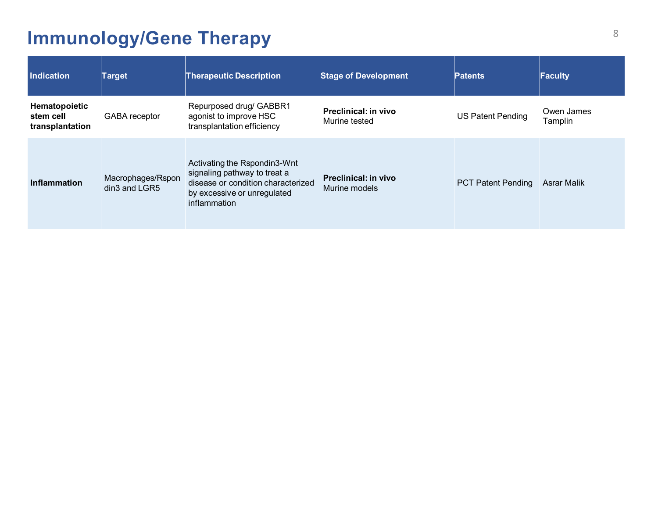# **Immunology/Gene Therapy 8**

| <b>Indication</b>                             | Target                             | <b>Therapeutic Description</b>                                                                                                                    | <b>Stage of Development</b>           | <b>Patents</b>            | <b>Faculty</b>        |
|-----------------------------------------------|------------------------------------|---------------------------------------------------------------------------------------------------------------------------------------------------|---------------------------------------|---------------------------|-----------------------|
| Hematopoietic<br>stem cell<br>transplantation | GABA receptor                      | Repurposed drug/ GABBR1<br>agonist to improve HSC<br>transplantation efficiency                                                                   | Preclinical: in vivo<br>Murine tested | <b>US Patent Pending</b>  | Owen James<br>Tamplin |
| <b>Inflammation</b>                           | Macrophages/Rspon<br>din3 and LGR5 | Activating the Rspondin3-Wnt<br>signaling pathway to treat a<br>disease or condition characterized<br>by excessive or unregulated<br>inflammation | Preclinical: in vivo<br>Murine models | <b>PCT Patent Pending</b> | Asrar Malik           |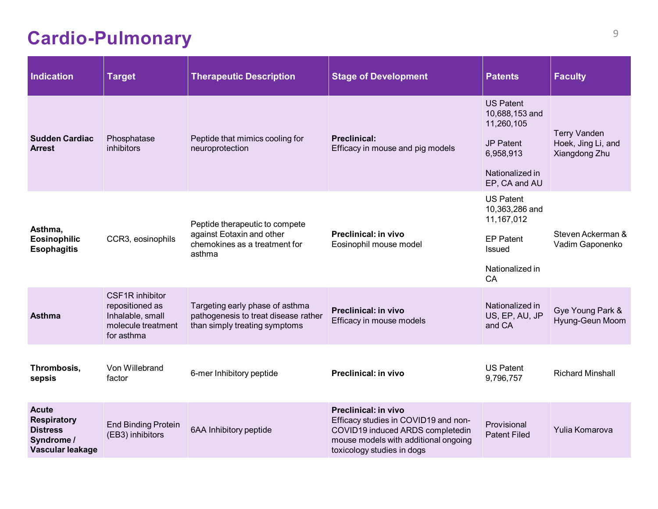# <span id="page-9-0"></span>**Cardio-Pulmonary** <sup>9</sup>

| <b>Indication</b>                                                                       | <b>Target</b>                                                                              | <b>Therapeutic Description</b>                                                                           | <b>Stage of Development</b>                                                                                                                                                   | <b>Patents</b>                                                                                                        | <b>Faculty</b>                                             |
|-----------------------------------------------------------------------------------------|--------------------------------------------------------------------------------------------|----------------------------------------------------------------------------------------------------------|-------------------------------------------------------------------------------------------------------------------------------------------------------------------------------|-----------------------------------------------------------------------------------------------------------------------|------------------------------------------------------------|
| <b>Sudden Cardiac</b><br><b>Arrest</b>                                                  | Phosphatase<br>inhibitors                                                                  | Peptide that mimics cooling for<br>neuroprotection                                                       | <b>Preclinical:</b><br>Efficacy in mouse and pig models                                                                                                                       | <b>US Patent</b><br>10,688,153 and<br>11,260,105<br><b>JP Patent</b><br>6,958,913<br>Nationalized in<br>EP, CA and AU | <b>Terry Vanden</b><br>Hoek, Jing Li, and<br>Xiangdong Zhu |
| Asthma,<br><b>Eosinophilic</b><br><b>Esophagitis</b>                                    | CCR3, eosinophils                                                                          | Peptide therapeutic to compete<br>against Eotaxin and other<br>chemokines as a treatment for<br>asthma   | Preclinical: in vivo<br>Eosinophil mouse model                                                                                                                                | <b>US Patent</b><br>10,363,286 and<br>11,167,012<br><b>EP Patent</b><br>Issued<br>Nationalized in<br>CA               | Steven Ackerman &<br>Vadim Gaponenko                       |
| <b>Asthma</b>                                                                           | CSF1R inhibitor<br>repositioned as<br>Inhalable, small<br>molecule treatment<br>for asthma | Targeting early phase of asthma<br>pathogenesis to treat disease rather<br>than simply treating symptoms | Preclinical: in vivo<br>Efficacy in mouse models                                                                                                                              | Nationalized in<br>US, EP, AU, JP<br>and CA                                                                           | Gye Young Park &<br>Hyung-Geun Moom                        |
| Thrombosis,<br>sepsis                                                                   | Von Willebrand<br>factor                                                                   | 6-mer Inhibitory peptide                                                                                 | Preclinical: in vivo                                                                                                                                                          | <b>US Patent</b><br>9,796,757                                                                                         | <b>Richard Minshall</b>                                    |
| <b>Acute</b><br><b>Respiratory</b><br><b>Distress</b><br>Syndrome /<br>Vascular leakage | <b>End Binding Protein</b><br>(EB3) inhibitors                                             | 6AA Inhibitory peptide                                                                                   | <b>Preclinical: in vivo</b><br>Efficacy studies in COVID19 and non-<br>COVID19 induced ARDS completedin<br>mouse models with additional ongoing<br>toxicology studies in dogs | Provisional<br><b>Patent Filed</b>                                                                                    | Yulia Komarova                                             |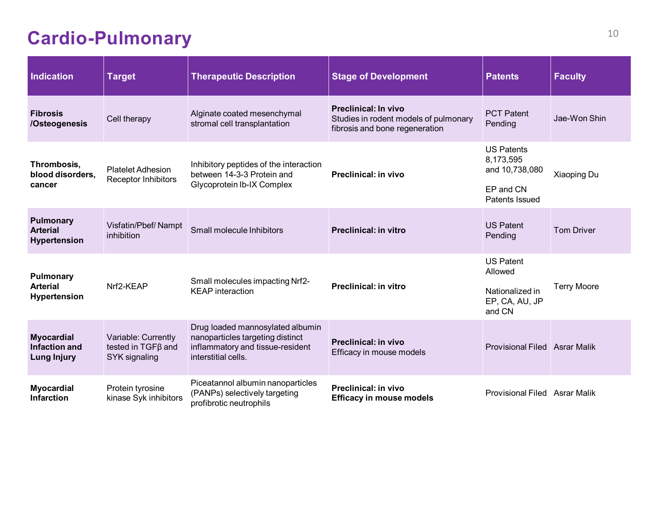#### **Cardio-Pulmonary**

| <b>Indication</b>                                               | <b>Target</b>                                                    | <b>Therapeutic Description</b>                                                                                                  | <b>Stage of Development</b>                                                                            | <b>Patents</b>                                                                  | <b>Faculty</b>     |
|-----------------------------------------------------------------|------------------------------------------------------------------|---------------------------------------------------------------------------------------------------------------------------------|--------------------------------------------------------------------------------------------------------|---------------------------------------------------------------------------------|--------------------|
| <b>Fibrosis</b><br>/Osteogenesis                                | Cell therapy                                                     | Alginate coated mesenchymal<br>stromal cell transplantation                                                                     | <b>Preclinical: In vivo</b><br>Studies in rodent models of pulmonary<br>fibrosis and bone regeneration | <b>PCT Patent</b><br>Pending                                                    | Jae-Won Shin       |
| Thrombosis,<br>blood disorders,<br>cancer                       | <b>Platelet Adhesion</b><br>Receptor Inhibitors                  | Inhibitory peptides of the interaction<br>between 14-3-3 Protein and<br>Glycoprotein Ib-IX Complex                              | <b>Preclinical: in vivo</b>                                                                            | <b>US Patents</b><br>8,173,595<br>and 10,738,080<br>EP and CN<br>Patents Issued | Xiaoping Du        |
| <b>Pulmonary</b><br><b>Arterial</b><br><b>Hypertension</b>      | Visfatin/Pbef/Nampt<br>inhibition                                | Small molecule Inhibitors                                                                                                       | <b>Preclinical: in vitro</b>                                                                           | <b>US Patent</b><br>Pending                                                     | <b>Tom Driver</b>  |
| <b>Pulmonary</b><br><b>Arterial</b><br><b>Hypertension</b>      | Nrf2-KEAP                                                        | Small molecules impacting Nrf2-<br><b>KEAP</b> interaction                                                                      | <b>Preclinical: in vitro</b>                                                                           | <b>US Patent</b><br>Allowed<br>Nationalized in<br>EP, CA, AU, JP<br>and CN      | <b>Terry Moore</b> |
| <b>Myocardial</b><br><b>Infaction and</b><br><b>Lung Injury</b> | Variable: Currently<br>tested in $TGF\beta$ and<br>SYK signaling | Drug loaded mannosylated albumin<br>nanoparticles targeting distinct<br>inflammatory and tissue-resident<br>interstitial cells. | <b>Preclinical: in vivo</b><br>Efficacy in mouse models                                                | <b>Provisional Filed Asrar Malik</b>                                            |                    |
| <b>Myocardial</b><br><b>Infarction</b>                          | Protein tyrosine<br>kinase Syk inhibitors                        | Piceatannol albumin nanoparticles<br>(PANPs) selectively targeting<br>profibrotic neutrophils                                   | <b>Preclinical: in vivo</b><br><b>Efficacy in mouse models</b>                                         | Provisional Filed Asrar Malik                                                   |                    |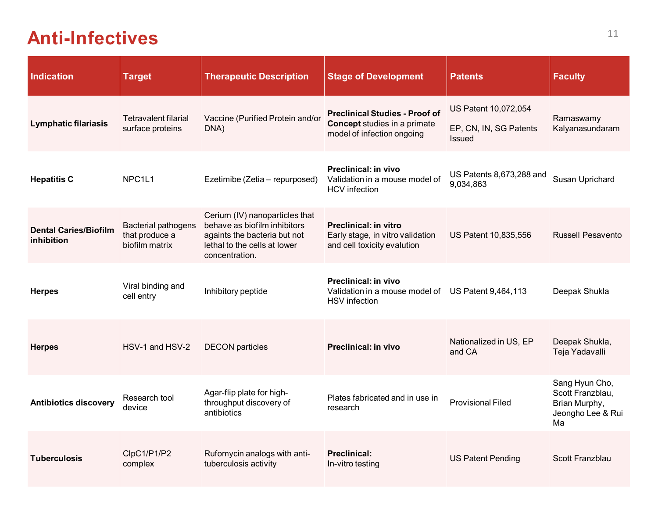#### <span id="page-11-0"></span>Anti-Infectives<sup>11</sup>

| <b>Indication</b>                          | <b>Target</b>                                                  | <b>Therapeutic Description</b>                                                                                                                   | <b>Stage of Development</b>                                                                                | <b>Patents</b>                                                  | <b>Faculty</b>                                                                 |
|--------------------------------------------|----------------------------------------------------------------|--------------------------------------------------------------------------------------------------------------------------------------------------|------------------------------------------------------------------------------------------------------------|-----------------------------------------------------------------|--------------------------------------------------------------------------------|
| <b>Lymphatic filariasis</b>                | <b>Tetravalent filarial</b><br>surface proteins                | Vaccine (Purified Protein and/or<br>DNA)                                                                                                         | <b>Preclinical Studies - Proof of</b><br><b>Concept studies in a primate</b><br>model of infection ongoing | US Patent 10,072,054<br>EP, CN, IN, SG Patents<br><b>Issued</b> | Ramaswamy<br>Kalyanasundaram                                                   |
| <b>Hepatitis C</b>                         | NPC <sub>1L1</sub>                                             | Ezetimibe (Zetia - repurposed)                                                                                                                   | Preclinical: in vivo<br>Validation in a mouse model of<br><b>HCV</b> infection                             | US Patents 8,673,288 and<br>9,034,863                           | Susan Uprichard                                                                |
| <b>Dental Caries/Biofilm</b><br>inhibition | <b>Bacterial pathogens</b><br>that produce a<br>biofilm matrix | Cerium (IV) nanoparticles that<br>behave as biofilm inhibitors<br>againts the bacteria but not<br>lethal to the cells at lower<br>concentration. | <b>Preclinical: in vitro</b><br>Early stage, in vitro validation<br>and cell toxicity evalution            | US Patent 10,835,556                                            | <b>Russell Pesavento</b>                                                       |
| <b>Herpes</b>                              | Viral binding and<br>cell entry                                | Inhibitory peptide                                                                                                                               | <b>Preclinical: in vivo</b><br>Validation in a mouse model of US Patent 9,464,113<br><b>HSV</b> infection  |                                                                 | Deepak Shukla                                                                  |
| <b>Herpes</b>                              | HSV-1 and HSV-2                                                | <b>DECON</b> particles                                                                                                                           | <b>Preclinical: in vivo</b>                                                                                | Nationalized in US, EP<br>and CA                                | Deepak Shukla,<br>Teja Yadavalli                                               |
| <b>Antibiotics discovery</b>               | Research tool<br>device                                        | Agar-flip plate for high-<br>throughput discovery of<br>antibiotics                                                                              | Plates fabricated and in use in<br>research                                                                | <b>Provisional Filed</b>                                        | Sang Hyun Cho,<br>Scott Franzblau,<br>Brian Murphy,<br>Jeongho Lee & Rui<br>Ma |
| <b>Tuberculosis</b>                        | ClpC1/P1/P2<br>complex                                         | Rufomycin analogs with anti-<br>tuberculosis activity                                                                                            | <b>Preclinical:</b><br>In-vitro testing                                                                    | <b>US Patent Pending</b>                                        | Scott Franzblau                                                                |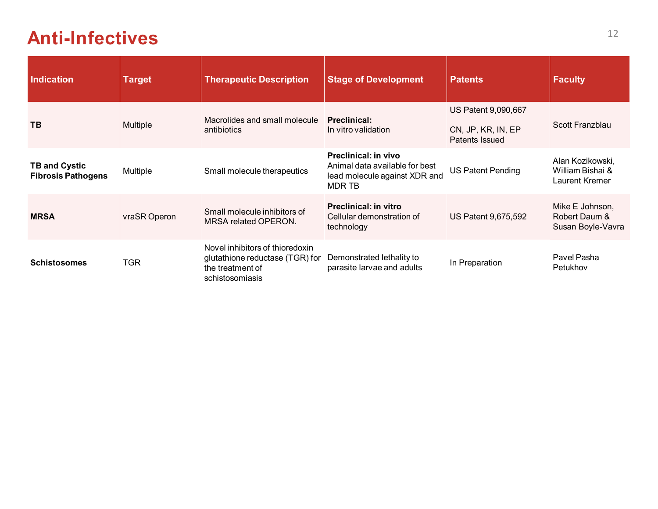#### **Anti-Infectives** <sup>12</sup>

| <b>Indication</b>                                 | <b>Target</b> | <b>Therapeutic Description</b>                                                                            | <b>Stage of Development</b>                                                                       | <b>Patents</b>                       | <b>Faculty</b>                                         |
|---------------------------------------------------|---------------|-----------------------------------------------------------------------------------------------------------|---------------------------------------------------------------------------------------------------|--------------------------------------|--------------------------------------------------------|
|                                                   |               | Macrolides and small molecule                                                                             | <b>Preclinical:</b>                                                                               | US Patent 9,090,667                  |                                                        |
| <b>TB</b>                                         | Multiple      | antibiotics                                                                                               | In vitro validation                                                                               | CN, JP, KR, IN, EP<br>Patents Issued | Scott Franzblau                                        |
| <b>TB and Cystic</b><br><b>Fibrosis Pathogens</b> | Multiple      | Small molecule therapeutics                                                                               | Preclinical: in vivo<br>Animal data available for best<br>lead molecule against XDR and<br>MDR TB | <b>US Patent Pending</b>             | Alan Kozikowski,<br>William Bishai &<br>Laurent Kremer |
| <b>MRSA</b>                                       | vraSR Operon  | Small molecule inhibitors of<br><b>MRSA related OPERON.</b>                                               | <b>Preclinical: in vitro</b><br>Cellular demonstration of<br>technology                           | US Patent 9,675,592                  | Mike E Johnson,<br>Robert Daum &<br>Susan Boyle-Vavra  |
| <b>Schistosomes</b>                               | <b>TGR</b>    | Novel inhibitors of thioredoxin<br>glutathione reductase (TGR) for<br>the treatment of<br>schistosomiasis | Demonstrated lethality to<br>parasite larvae and adults                                           | In Preparation                       | Pavel Pasha<br>Petukhov                                |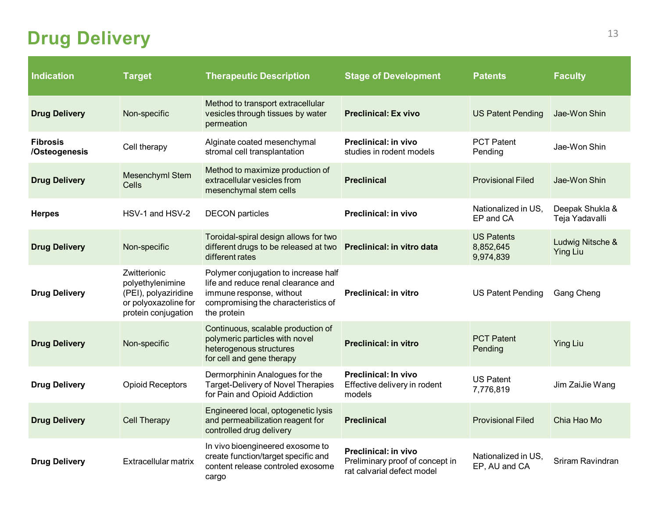# <span id="page-13-0"></span>**Drug Delivery**

| <b>Indication</b>                | <b>Target</b>                                                                                           | <b>Therapeutic Description</b>                                                                                                                                | <b>Stage of Development</b>                                                                  | <b>Patents</b>                              | <b>Faculty</b>                      |
|----------------------------------|---------------------------------------------------------------------------------------------------------|---------------------------------------------------------------------------------------------------------------------------------------------------------------|----------------------------------------------------------------------------------------------|---------------------------------------------|-------------------------------------|
| <b>Drug Delivery</b>             | Non-specific                                                                                            | Method to transport extracellular<br>vesicles through tissues by water<br>permeation                                                                          | <b>Preclinical: Ex vivo</b>                                                                  | <b>US Patent Pending</b>                    | Jae-Won Shin                        |
| <b>Fibrosis</b><br>/Osteogenesis | Cell therapy                                                                                            | Alginate coated mesenchymal<br>stromal cell transplantation                                                                                                   | Preclinical: in vivo<br>studies in rodent models                                             | <b>PCT Patent</b><br>Pending                | Jae-Won Shin                        |
| <b>Drug Delivery</b>             | Mesenchyml Stem<br>Cells                                                                                | Method to maximize production of<br>extracellular vesicles from<br>mesenchymal stem cells                                                                     | <b>Preclinical</b>                                                                           | <b>Provisional Filed</b>                    | Jae-Won Shin                        |
| <b>Herpes</b>                    | HSV-1 and HSV-2                                                                                         | <b>DECON</b> particles                                                                                                                                        | <b>Preclinical: in vivo</b>                                                                  | Nationalized in US,<br>EP and CA            | Deepak Shukla &<br>Teja Yadavalli   |
| <b>Drug Delivery</b>             | Non-specific                                                                                            | Toroidal-spiral design allows for two<br>different drugs to be released at two Preclinical: in vitro data<br>different rates                                  |                                                                                              | <b>US Patents</b><br>8,852,645<br>9,974,839 | Ludwig Nitsche &<br><b>Ying Liu</b> |
| <b>Drug Delivery</b>             | Zwitterionic<br>polyethylenimine<br>(PEI), polyaziridine<br>or polyoxazoline for<br>protein conjugation | Polymer conjugation to increase half<br>life and reduce renal clearance and<br>immune response, without<br>compromising the characteristics of<br>the protein | <b>Preclinical: in vitro</b>                                                                 | <b>US Patent Pending</b>                    | <b>Gang Cheng</b>                   |
| <b>Drug Delivery</b>             | Non-specific                                                                                            | Continuous, scalable production of<br>polymeric particles with novel<br>heterogenous structures<br>for cell and gene therapy                                  | <b>Preclinical: in vitro</b>                                                                 | <b>PCT Patent</b><br>Pending                | <b>Ying Liu</b>                     |
| <b>Drug Delivery</b>             | <b>Opioid Receptors</b>                                                                                 | Dermorphinin Analogues for the<br><b>Target-Delivery of Novel Therapies</b><br>for Pain and Opioid Addiction                                                  | Preclinical: In vivo<br>Effective delivery in rodent<br>models                               | <b>US Patent</b><br>7,776,819               | Jim ZaiJie Wang                     |
| <b>Drug Delivery</b>             | <b>Cell Therapy</b>                                                                                     | Engineered local, optogenetic lysis<br>and permeabilization reagent for<br>controlled drug delivery                                                           | <b>Preclinical</b>                                                                           | <b>Provisional Filed</b>                    | Chia Hao Mo                         |
| <b>Drug Delivery</b>             | Extracellular matrix                                                                                    | In vivo bioengineered exosome to<br>create function/target specific and<br>content release controled exosome<br>cargo                                         | <b>Preclinical: in vivo</b><br>Preliminary proof of concept in<br>rat calvarial defect model | Nationalized in US,<br>EP, AU and CA        | Sriram Ravindran                    |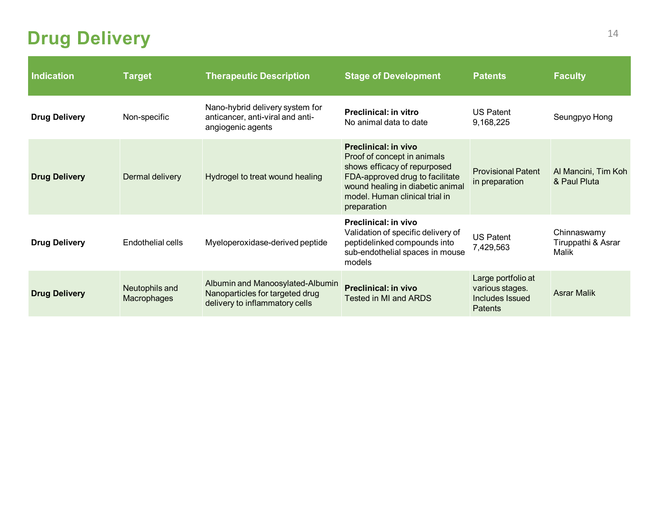#### **Drug Delivery**

| <b>Indication</b>    | <b>Target</b>                 | <b>Therapeutic Description</b>                                                                        | <b>Stage of Development</b>                                                                                                                                                                                 | <b>Patents</b>                                                      | <b>Faculty</b>                             |
|----------------------|-------------------------------|-------------------------------------------------------------------------------------------------------|-------------------------------------------------------------------------------------------------------------------------------------------------------------------------------------------------------------|---------------------------------------------------------------------|--------------------------------------------|
| <b>Drug Delivery</b> | Non-specific                  | Nano-hybrid delivery system for<br>anticancer, anti-viral and anti-<br>angiogenic agents              | <b>Preclinical: in vitro</b><br>No animal data to date                                                                                                                                                      | <b>US Patent</b><br>9,168,225                                       | Seungpyo Hong                              |
| <b>Drug Delivery</b> | Dermal delivery               | Hydrogel to treat wound healing                                                                       | Preclinical: in vivo<br>Proof of concept in animals<br>shows efficacy of repurposed<br>FDA-approved drug to facilitate<br>wound healing in diabetic animal<br>model. Human clinical trial in<br>preparation | <b>Provisional Patent</b><br>in preparation                         | Al Mancini, Tim Koh<br>& Paul Pluta        |
| <b>Drug Delivery</b> | Endothelial cells             | Myeloperoxidase-derived peptide                                                                       | Preclinical: in vivo<br>Validation of specific delivery of<br>peptidelinked compounds into<br>sub-endothelial spaces in mouse<br>models                                                                     | <b>US Patent</b><br>7,429,563                                       | Chinnaswamy<br>Tiruppathi & Asrar<br>Malik |
| <b>Drug Delivery</b> | Neutophils and<br>Macrophages | Albumin and Manoosylated-Albumin<br>Nanoparticles for targeted drug<br>delivery to inflammatory cells | <b>Preclinical: in vivo</b><br>Tested in MI and ARDS                                                                                                                                                        | Large portfolio at<br>various stages.<br>Includes Issued<br>Patents | <b>Asrar Malik</b>                         |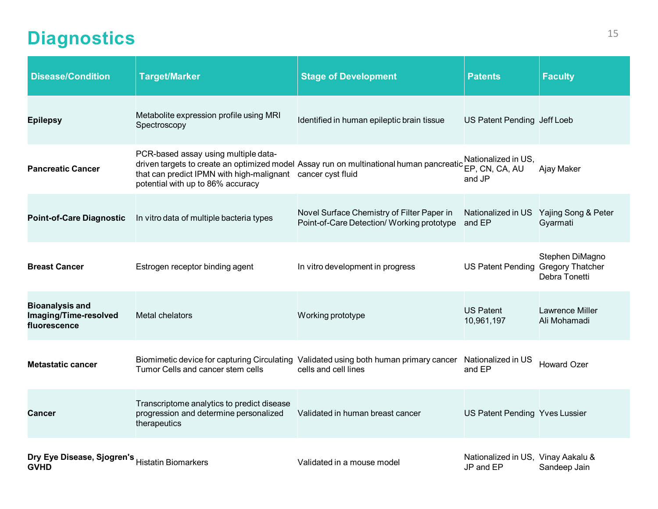# <span id="page-15-0"></span>**Diagnostics** 15

| <b>Disease/Condition</b>                                        | <b>Target/Marker</b>                                                                                                                     | <b>Stage of Development</b>                                                                                   | <b>Patents</b>                                  | <b>Faculty</b>                                     |
|-----------------------------------------------------------------|------------------------------------------------------------------------------------------------------------------------------------------|---------------------------------------------------------------------------------------------------------------|-------------------------------------------------|----------------------------------------------------|
| <b>Epilepsy</b>                                                 | Metabolite expression profile using MRI<br>Spectroscopy                                                                                  | Identified in human epileptic brain tissue                                                                    | US Patent Pending Jeff Loeb                     |                                                    |
| <b>Pancreatic Cancer</b>                                        | PCR-based assay using multiple data-<br>that can predict IPMN with high-malignant cancer cyst fluid<br>potential with up to 86% accuracy | driven targets to create an optimized model Assay run on multinational human pancreatic                       | Nationalized in US,<br>EP, CN, CA, AU<br>and JP | Ajay Maker                                         |
| <b>Point-of-Care Diagnostic</b>                                 | In vitro data of multiple bacteria types                                                                                                 | Novel Surface Chemistry of Filter Paper in<br>Point-of-Care Detection/ Working prototype                      | and EP                                          | Nationalized in US Yajing Song & Peter<br>Gyarmati |
| <b>Breast Cancer</b>                                            | Estrogen receptor binding agent                                                                                                          | In vitro development in progress                                                                              | US Patent Pending Gregory Thatcher              | Stephen DiMagno<br>Debra Tonetti                   |
| <b>Bioanalysis and</b><br>Imaging/Time-resolved<br>fluorescence | Metal chelators                                                                                                                          | Working prototype                                                                                             | <b>US Patent</b><br>10,961,197                  | <b>Lawrence Miller</b><br>Ali Mohamadi             |
| <b>Metastatic cancer</b>                                        | Tumor Cells and cancer stem cells                                                                                                        | Biomimetic device for capturing Circulating Validated using both human primary cancer<br>cells and cell lines | Nationalized in US<br>and EP                    | <b>Howard Ozer</b>                                 |
| Cancer                                                          | Transcriptome analytics to predict disease<br>progression and determine personalized<br>therapeutics                                     | Validated in human breast cancer                                                                              | US Patent Pending Yves Lussier                  |                                                    |
| Dry Eye Disease, Sjogren's Histatin Biomarkers<br><b>GVHD</b>   |                                                                                                                                          | Validated in a mouse model                                                                                    | Nationalized in US, Vinay Aakalu &<br>JP and EP | Sandeep Jain                                       |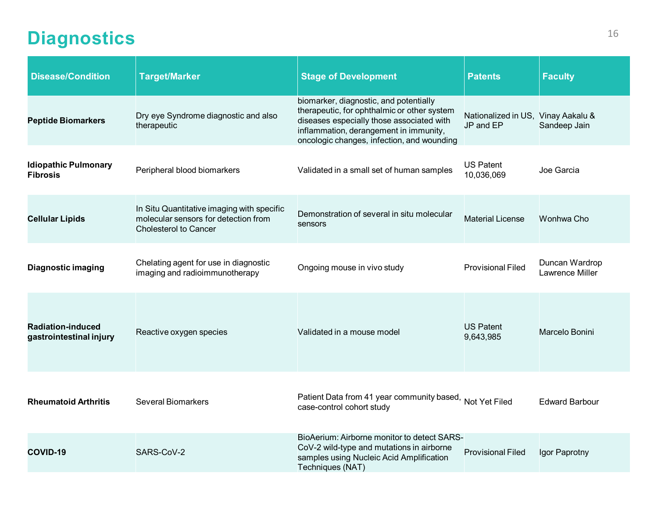#### **Diagnostics** 16

| <b>Disease/Condition</b>                            | <b>Target/Marker</b>                                                                                               | <b>Stage of Development</b>                                                                                                                                                                                                | <b>Patents</b>                                  | <b>Faculty</b>                           |
|-----------------------------------------------------|--------------------------------------------------------------------------------------------------------------------|----------------------------------------------------------------------------------------------------------------------------------------------------------------------------------------------------------------------------|-------------------------------------------------|------------------------------------------|
| <b>Peptide Biomarkers</b>                           | Dry eye Syndrome diagnostic and also<br>therapeutic                                                                | biomarker, diagnostic, and potentially<br>therapeutic, for ophthalmic or other system<br>diseases especially those associated with<br>inflammation, derangement in immunity,<br>oncologic changes, infection, and wounding | Nationalized in US, Vinay Aakalu &<br>JP and EP | Sandeep Jain                             |
| <b>Idiopathic Pulmonary</b><br><b>Fibrosis</b>      | Peripheral blood biomarkers                                                                                        | Validated in a small set of human samples                                                                                                                                                                                  | <b>US Patent</b><br>10,036,069                  | Joe Garcia                               |
| <b>Cellular Lipids</b>                              | In Situ Quantitative imaging with specific<br>molecular sensors for detection from<br><b>Cholesterol to Cancer</b> | Demonstration of several in situ molecular<br>sensors                                                                                                                                                                      | <b>Material License</b>                         | Wonhwa Cho                               |
| <b>Diagnostic imaging</b>                           | Chelating agent for use in diagnostic<br>imaging and radioimmunotherapy                                            | Ongoing mouse in vivo study                                                                                                                                                                                                | <b>Provisional Filed</b>                        | Duncan Wardrop<br><b>Lawrence Miller</b> |
| <b>Radiation-induced</b><br>gastrointestinal injury | Reactive oxygen species                                                                                            | Validated in a mouse model                                                                                                                                                                                                 | <b>US Patent</b><br>9,643,985                   | Marcelo Bonini                           |
| <b>Rheumatoid Arthritis</b>                         | <b>Several Biomarkers</b>                                                                                          | Patient Data from 41 year community based, Not Yet Filed<br>case-control cohort study                                                                                                                                      |                                                 | <b>Edward Barbour</b>                    |
| <b>COVID-19</b>                                     | SARS-CoV-2                                                                                                         | BioAerium: Airborne monitor to detect SARS-<br>CoV-2 wild-type and mutations in airborne<br>samples using Nucleic Acid Amplification<br>Techniques (NAT)                                                                   | <b>Provisional Filed</b>                        | Igor Paprotny                            |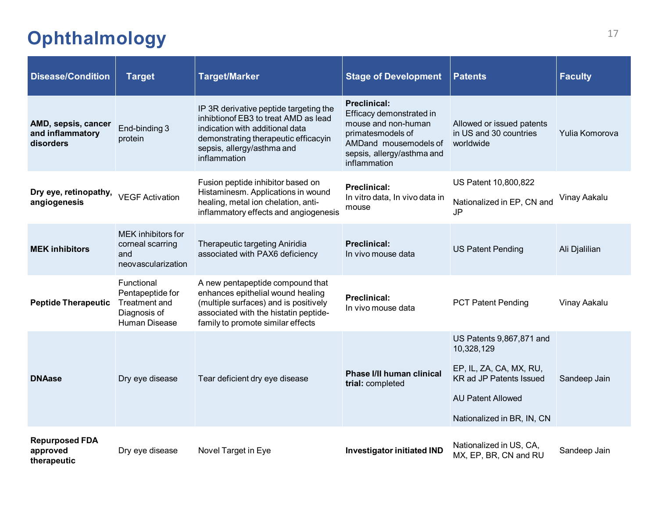# <span id="page-17-0"></span><sup>17</sup> **Ophthalmology**

| <b>Disease/Condition</b>                             | <b>Target</b>                                                                           | <b>Target/Marker</b>                                                                                                                                                                                     | <b>Stage of Development</b>                                                                                                                                        | <b>Patents</b>                                                                                                                                                | <b>Faculty</b> |
|------------------------------------------------------|-----------------------------------------------------------------------------------------|----------------------------------------------------------------------------------------------------------------------------------------------------------------------------------------------------------|--------------------------------------------------------------------------------------------------------------------------------------------------------------------|---------------------------------------------------------------------------------------------------------------------------------------------------------------|----------------|
| AMD, sepsis, cancer<br>and inflammatory<br>disorders | End-binding 3<br>protein                                                                | IP 3R derivative peptide targeting the<br>inhibtion of EB3 to treat AMD as lead<br>indication with additional data<br>demonstrating therapeutic efficacyin<br>sepsis, allergy/asthma and<br>inflammation | <b>Preclinical:</b><br>Efficacy demonstrated in<br>mouse and non-human<br>primatesmodels of<br>AMDand mousemodels of<br>sepsis, allergy/asthma and<br>inflammation | Allowed or issued patents<br>in US and 30 countries<br>worldwide                                                                                              | Yulia Komorova |
| Dry eye, retinopathy,<br>angiogenesis                | <b>VEGF Activation</b>                                                                  | Fusion peptide inhibitor based on<br>Histaminesm. Applications in wound<br>healing, metal ion chelation, anti-<br>inflammatory effects and angiogenesis                                                  | <b>Preclinical:</b><br>In vitro data, In vivo data in<br>mouse                                                                                                     | US Patent 10,800,822<br>Nationalized in EP, CN and<br><b>JP</b>                                                                                               | Vinay Aakalu   |
| <b>MEK inhibitors</b>                                | <b>MEK</b> inhibitors for<br>corneal scarring<br>and<br>neovascularization              | Therapeutic targeting Aniridia<br>associated with PAX6 deficiency                                                                                                                                        | <b>Preclinical:</b><br>In vivo mouse data                                                                                                                          | <b>US Patent Pending</b>                                                                                                                                      | Ali Djalilian  |
| <b>Peptide Therapeutic</b>                           | Functional<br>Pentapeptide for<br><b>Treatment and</b><br>Diagnosis of<br>Human Disease | A new pentapeptide compound that<br>enhances epithelial wound healing<br>(multiple surfaces) and is positively<br>associated with the histatin peptide-<br>family to promote similar effects             | <b>Preclinical:</b><br>In vivo mouse data                                                                                                                          | <b>PCT Patent Pending</b>                                                                                                                                     | Vinay Aakalu   |
| <b>DNAase</b>                                        | Dry eye disease                                                                         | Tear deficient dry eye disease                                                                                                                                                                           | Phase I/II human clinical<br>trial: completed                                                                                                                      | US Patents 9,867,871 and<br>10,328,129<br>EP, IL, ZA, CA, MX, RU,<br><b>KR ad JP Patents Issued</b><br><b>AU Patent Allowed</b><br>Nationalized in BR, IN, CN | Sandeep Jain   |
| <b>Repurposed FDA</b><br>approved<br>therapeutic     | Dry eye disease                                                                         | Novel Target in Eye                                                                                                                                                                                      | <b>Investigator initiated IND</b>                                                                                                                                  | Nationalized in US, CA,<br>MX, EP, BR, CN and RU                                                                                                              | Sandeep Jain   |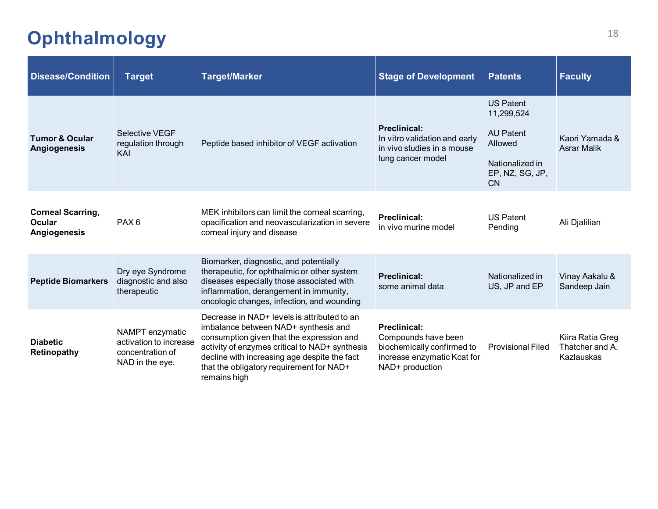#### <sup>18</sup> **Ophthalmology**

| <b>Disease/Condition</b>                           | <b>Target</b>                                                                    | <b>Target/Marker</b>                                                                                                                                                                                                                                                                           | <b>Stage of Development</b>                                                                                                | <b>Patents</b>                                                                                                   | <b>Faculty</b>                                    |
|----------------------------------------------------|----------------------------------------------------------------------------------|------------------------------------------------------------------------------------------------------------------------------------------------------------------------------------------------------------------------------------------------------------------------------------------------|----------------------------------------------------------------------------------------------------------------------------|------------------------------------------------------------------------------------------------------------------|---------------------------------------------------|
| <b>Tumor &amp; Ocular</b><br>Angiogenesis          | <b>Selective VEGF</b><br>regulation through<br>KAI                               | Peptide based inhibitor of VEGF activation                                                                                                                                                                                                                                                     | <b>Preclinical:</b><br>In vitro validation and early<br>in vivo studies in a mouse<br>lung cancer model                    | <b>US Patent</b><br>11,299,524<br><b>AU Patent</b><br>Allowed<br>Nationalized in<br>EP, NZ, SG, JP,<br><b>CN</b> | Kaori Yamada &<br><b>Asrar Malik</b>              |
| <b>Corneal Scarring,</b><br>Ocular<br>Angiogenesis | PAX <sub>6</sub>                                                                 | MEK inhibitors can limit the corneal scarring,<br>opacification and neovascularization in severe<br>corneal injury and disease                                                                                                                                                                 | <b>Preclinical:</b><br>in vivo murine model                                                                                | <b>US Patent</b><br>Pending                                                                                      | Ali Djalilian                                     |
| <b>Peptide Biomarkers</b>                          | Dry eye Syndrome<br>diagnostic and also<br>therapeutic                           | Biomarker, diagnostic, and potentially<br>therapeutic, for ophthalmic or other system<br>diseases especially those associated with<br>inflammation, derangement in immunity,<br>oncologic changes, infection, and wounding                                                                     | <b>Preclinical:</b><br>some animal data                                                                                    | Nationalized in<br>US, JP and EP                                                                                 | Vinay Aakalu &<br>Sandeep Jain                    |
| <b>Diabetic</b><br>Retinopathy                     | NAMPT enzymatic<br>activation to increase<br>concentration of<br>NAD in the eye. | Decrease in NAD+ levels is attributed to an<br>imbalance between NAD+ synthesis and<br>consumption given that the expression and<br>activity of enzymes critical to NAD+ synthesis<br>decline with increasing age despite the fact<br>that the obligatory requirement for NAD+<br>remains high | <b>Preclinical:</b><br>Compounds have been<br>biochemically confirmed to<br>increase enzymatic Kcat for<br>NAD+ production | <b>Provisional Filed</b>                                                                                         | Kiira Ratia Greg<br>Thatcher and A.<br>Kazlauskas |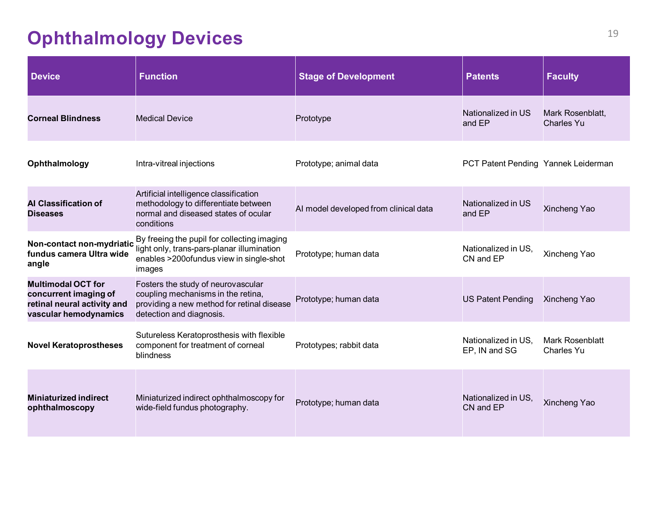# <span id="page-19-0"></span>**Ophthalmology Devices**

| <b>Device</b>                                                                                              | <b>Function</b>                                                                                                                                    | <b>Stage of Development</b>           | <b>Patents</b>                       | <b>Faculty</b>                        |
|------------------------------------------------------------------------------------------------------------|----------------------------------------------------------------------------------------------------------------------------------------------------|---------------------------------------|--------------------------------------|---------------------------------------|
| <b>Corneal Blindness</b>                                                                                   | <b>Medical Device</b>                                                                                                                              | Prototype                             | Nationalized in US<br>and EP         | Mark Rosenblatt,<br><b>Charles Yu</b> |
| Ophthalmology                                                                                              | Intra-vitreal injections                                                                                                                           | Prototype; animal data                | PCT Patent Pending Yannek Leiderman  |                                       |
| <b>Al Classification of</b><br><b>Diseases</b>                                                             | Artificial intelligence classification<br>methodology to differentiate between<br>normal and diseased states of ocular<br>conditions               | AI model developed from clinical data | Nationalized in US<br>and EP         | Xincheng Yao                          |
| Non-contact non-mydriatic<br>fundus camera Ultra wide<br>angle                                             | By freeing the pupil for collecting imaging<br>light only, trans-pars-planar illumination<br>enables >200ofundus view in single-shot<br>images     | Prototype; human data                 | Nationalized in US.<br>CN and EP     | Xincheng Yao                          |
| <b>Multimodal OCT for</b><br>concurrent imaging of<br>retinal neural activity and<br>vascular hemodynamics | Fosters the study of neurovascular<br>coupling mechanisms in the retina,<br>providing a new method for retinal disease<br>detection and diagnosis. | Prototype; human data                 | <b>US Patent Pending</b>             | Xincheng Yao                          |
| <b>Novel Keratoprostheses</b>                                                                              | Sutureless Keratoprosthesis with flexible<br>component for treatment of corneal<br>blindness                                                       | Prototypes; rabbit data               | Nationalized in US.<br>EP, IN and SG | <b>Mark Rosenblatt</b><br>Charles Yu  |
| <b>Miniaturized indirect</b><br>ophthalmoscopy                                                             | Miniaturized indirect ophthalmoscopy for<br>wide-field fundus photography.                                                                         | Prototype; human data                 | Nationalized in US.<br>CN and EP     | Xincheng Yao                          |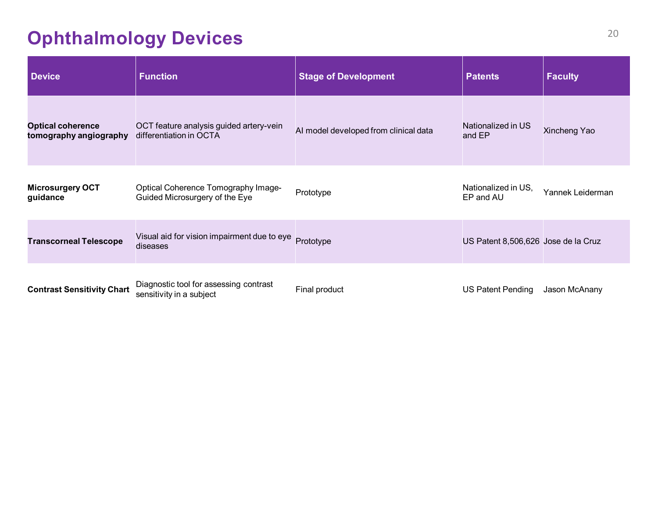# **Ophthalmology Devices**

| <b>Device</b>                                      | <b>Function</b>                                                              | <b>Stage of Development</b>           | <b>Patents</b>                      | <b>Faculty</b>   |
|----------------------------------------------------|------------------------------------------------------------------------------|---------------------------------------|-------------------------------------|------------------|
| <b>Optical coherence</b><br>tomography angiography | OCT feature analysis guided artery-vein<br>differentiation in OCTA           | AI model developed from clinical data | Nationalized in US<br>and EP        | Xincheng Yao     |
| <b>Microsurgery OCT</b><br>guidance                | <b>Optical Coherence Tomography Image-</b><br>Guided Microsurgery of the Eye | Prototype                             | Nationalized in US,<br>EP and AU    | Yannek Leiderman |
| <b>Transcorneal Telescope</b>                      | Visual aid for vision impairment due to eye<br>diseases                      | Prototype                             | US Patent 8,506,626 Jose de la Cruz |                  |
| <b>Contrast Sensitivity Chart</b>                  | Diagnostic tool for assessing contrast<br>sensitivity in a subject           | Final product                         | <b>US Patent Pending</b>            | Jason McAnany    |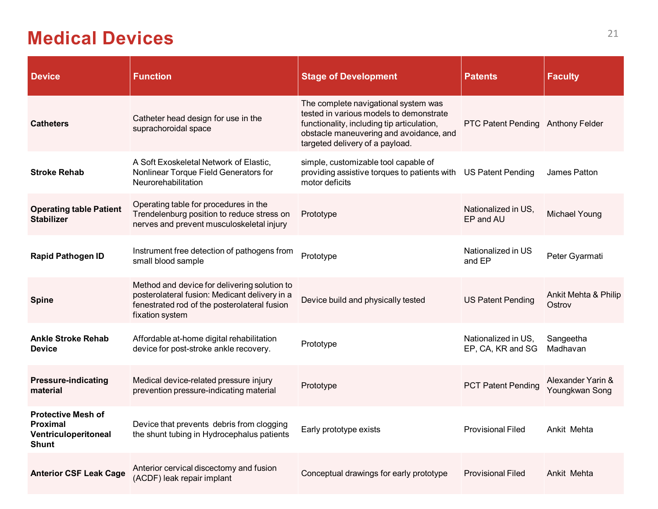#### <span id="page-21-0"></span>**Medical Devices**

| <b>Device</b>                                                                        | <b>Function</b>                                                                                                                                                  | <b>Stage of Development</b>                                                                                                                                                                                 | <b>Patents</b>                           | <b>Faculty</b>                      |
|--------------------------------------------------------------------------------------|------------------------------------------------------------------------------------------------------------------------------------------------------------------|-------------------------------------------------------------------------------------------------------------------------------------------------------------------------------------------------------------|------------------------------------------|-------------------------------------|
| <b>Catheters</b>                                                                     | Catheter head design for use in the<br>suprachoroidal space                                                                                                      | The complete navigational system was<br>tested in various models to demonstrate<br>functionality, including tip articulation,<br>obstacle maneuvering and avoidance, and<br>targeted delivery of a payload. | PTC Patent Pending Anthony Felder        |                                     |
| <b>Stroke Rehab</b>                                                                  | A Soft Exoskeletal Network of Elastic,<br>Nonlinear Torque Field Generators for<br>Neurorehabilitation                                                           | simple, customizable tool capable of<br>providing assistive torques to patients with<br>motor deficits                                                                                                      | <b>US Patent Pending</b>                 | James Patton                        |
| <b>Operating table Patient</b><br><b>Stabilizer</b>                                  | Operating table for procedures in the<br>Trendelenburg position to reduce stress on<br>nerves and prevent musculoskeletal injury                                 | Prototype                                                                                                                                                                                                   | Nationalized in US,<br>EP and AU         | <b>Michael Young</b>                |
| <b>Rapid Pathogen ID</b>                                                             | Instrument free detection of pathogens from<br>small blood sample                                                                                                | Prototype                                                                                                                                                                                                   | Nationalized in US<br>and EP             | Peter Gyarmati                      |
| <b>Spine</b>                                                                         | Method and device for delivering solution to<br>posterolateral fusion: Medicant delivery in a<br>fenestrated rod of the posterolateral fusion<br>fixation system | Device build and physically tested                                                                                                                                                                          | <b>US Patent Pending</b>                 | Ankit Mehta & Philip<br>Ostrov      |
| <b>Ankle Stroke Rehab</b><br><b>Device</b>                                           | Affordable at-home digital rehabilitation<br>device for post-stroke ankle recovery.                                                                              | Prototype                                                                                                                                                                                                   | Nationalized in US.<br>EP, CA, KR and SG | Sangeetha<br>Madhavan               |
| <b>Pressure-indicating</b><br>material                                               | Medical device-related pressure injury<br>prevention pressure-indicating material                                                                                | Prototype                                                                                                                                                                                                   | <b>PCT Patent Pending</b>                | Alexander Yarin &<br>Youngkwan Song |
| <b>Protective Mesh of</b><br><b>Proximal</b><br>Ventriculoperitoneal<br><b>Shunt</b> | Device that prevents debris from clogging<br>the shunt tubing in Hydrocephalus patients                                                                          | Early prototype exists                                                                                                                                                                                      | <b>Provisional Filed</b>                 | Ankit Mehta                         |
| <b>Anterior CSF Leak Cage</b>                                                        | Anterior cervical discectomy and fusion<br>(ACDF) leak repair implant                                                                                            | Conceptual drawings for early prototype                                                                                                                                                                     | <b>Provisional Filed</b>                 | Ankit Mehta                         |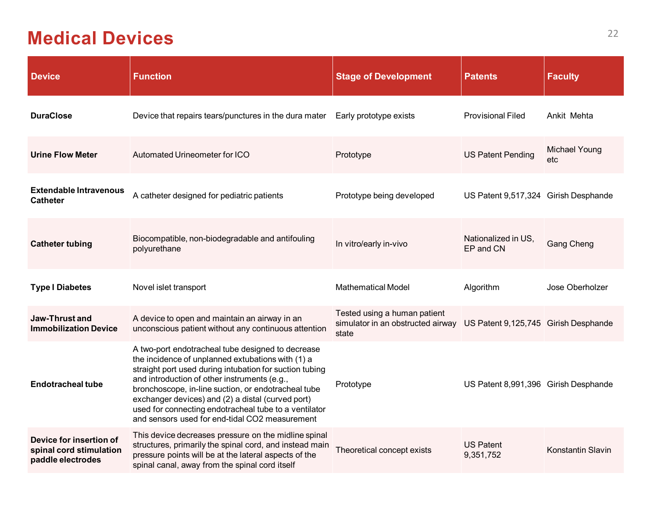#### **Medical Devices**

| <b>Device</b>                                                           | <b>Function</b>                                                                                                                                                                                                                                                                                                                                                                                                                          | <b>Stage of Development</b>                                                | <b>Patents</b>                       | <b>Faculty</b>       |
|-------------------------------------------------------------------------|------------------------------------------------------------------------------------------------------------------------------------------------------------------------------------------------------------------------------------------------------------------------------------------------------------------------------------------------------------------------------------------------------------------------------------------|----------------------------------------------------------------------------|--------------------------------------|----------------------|
| <b>DuraClose</b>                                                        | Device that repairs tears/punctures in the dura mater                                                                                                                                                                                                                                                                                                                                                                                    | Early prototype exists                                                     | <b>Provisional Filed</b>             | Ankit Mehta          |
| <b>Urine Flow Meter</b>                                                 | Automated Urineometer for ICO                                                                                                                                                                                                                                                                                                                                                                                                            | Prototype                                                                  | <b>US Patent Pending</b>             | Michael Young<br>etc |
| <b>Extendable Intravenous</b><br><b>Catheter</b>                        | A catheter designed for pediatric patients                                                                                                                                                                                                                                                                                                                                                                                               | Prototype being developed                                                  | US Patent 9,517,324 Girish Desphande |                      |
| <b>Catheter tubing</b>                                                  | Biocompatible, non-biodegradable and antifouling<br>polyurethane                                                                                                                                                                                                                                                                                                                                                                         | In vitro/early in-vivo                                                     | Nationalized in US,<br>EP and CN     | <b>Gang Cheng</b>    |
| <b>Type I Diabetes</b>                                                  | Novel islet transport                                                                                                                                                                                                                                                                                                                                                                                                                    | <b>Mathematical Model</b>                                                  | Algorithm                            | Jose Oberholzer      |
| <b>Jaw-Thrust and</b><br><b>Immobilization Device</b>                   | A device to open and maintain an airway in an<br>unconscious patient without any continuous attention                                                                                                                                                                                                                                                                                                                                    | Tested using a human patient<br>simulator in an obstructed airway<br>state | US Patent 9,125,745 Girish Desphande |                      |
| <b>Endotracheal tube</b>                                                | A two-port endotracheal tube designed to decrease<br>the incidence of unplanned extubations with (1) a<br>straight port used during intubation for suction tubing<br>and introduction of other instruments (e.g.,<br>bronchoscope, in-line suction, or endotracheal tube<br>exchanger devices) and (2) a distal (curved port)<br>used for connecting endotracheal tube to a ventilator<br>and sensors used for end-tidal CO2 measurement | Prototype                                                                  | US Patent 8,991,396 Girish Desphande |                      |
| Device for insertion of<br>spinal cord stimulation<br>paddle electrodes | This device decreases pressure on the midline spinal<br>structures, primarily the spinal cord, and instead main<br>pressure points will be at the lateral aspects of the<br>spinal canal, away from the spinal cord itself                                                                                                                                                                                                               | Theoretical concept exists                                                 | <b>US Patent</b><br>9,351,752        | Konstantin Slavin    |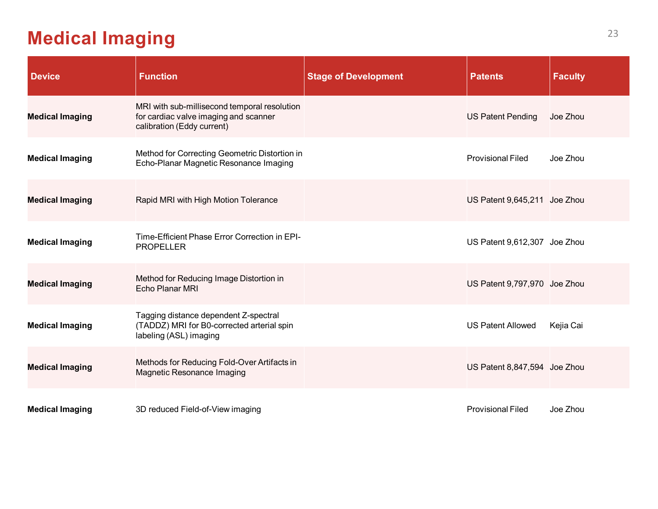#### **Medical Imaging**

| <b>Device</b>          | <b>Function</b>                                                                                                     | <b>Stage of Development</b> | <b>Patents</b>               | <b>Faculty</b> |
|------------------------|---------------------------------------------------------------------------------------------------------------------|-----------------------------|------------------------------|----------------|
| <b>Medical Imaging</b> | MRI with sub-millisecond temporal resolution<br>for cardiac valve imaging and scanner<br>calibration (Eddy current) |                             | <b>US Patent Pending</b>     | Joe Zhou       |
| <b>Medical Imaging</b> | Method for Correcting Geometric Distortion in<br>Echo-Planar Magnetic Resonance Imaging                             |                             | <b>Provisional Filed</b>     | Joe Zhou       |
| <b>Medical Imaging</b> | Rapid MRI with High Motion Tolerance                                                                                |                             | US Patent 9,645,211 Joe Zhou |                |
| <b>Medical Imaging</b> | Time-Efficient Phase Error Correction in EPI-<br><b>PROPELLER</b>                                                   |                             | US Patent 9,612,307 Joe Zhou |                |
| <b>Medical Imaging</b> | Method for Reducing Image Distortion in<br>Echo Planar MRI                                                          |                             | US Patent 9,797,970 Joe Zhou |                |
| <b>Medical Imaging</b> | Tagging distance dependent Z-spectral<br>(TADDZ) MRI for B0-corrected arterial spin<br>labeling (ASL) imaging       |                             | <b>US Patent Allowed</b>     | Kejia Cai      |
| <b>Medical Imaging</b> | Methods for Reducing Fold-Over Artifacts in<br><b>Magnetic Resonance Imaging</b>                                    |                             | US Patent 8,847,594 Joe Zhou |                |
| <b>Medical Imaging</b> | 3D reduced Field-of-View imaging                                                                                    |                             | <b>Provisional Filed</b>     | Joe Zhou       |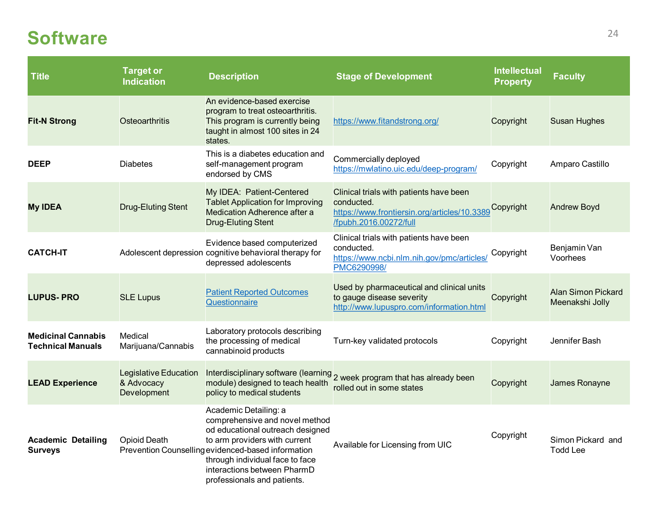#### <span id="page-24-0"></span>**Software**

| <b>Title</b>                                          | <b>Target or</b><br><b>Indication</b>              | <b>Description</b>                                                                                                                                                                                                                                                                  | <b>Stage of Development</b>                                                                                                     | <b>Intellectual</b><br><b>Property</b> | <b>Faculty</b>                               |
|-------------------------------------------------------|----------------------------------------------------|-------------------------------------------------------------------------------------------------------------------------------------------------------------------------------------------------------------------------------------------------------------------------------------|---------------------------------------------------------------------------------------------------------------------------------|----------------------------------------|----------------------------------------------|
| <b>Fit-N Strong</b>                                   | <b>Osteoarthritis</b>                              | An evidence-based exercise<br>program to treat osteoarthritis.<br>This program is currently being<br>taught in almost 100 sites in 24<br>states.                                                                                                                                    | https://www.fitandstrong.org/                                                                                                   | Copyright                              | <b>Susan Hughes</b>                          |
| <b>DEEP</b>                                           | <b>Diabetes</b>                                    | This is a diabetes education and<br>self-management program<br>endorsed by CMS                                                                                                                                                                                                      | Commercially deployed<br>https://mwlatino.uic.edu/deep-program/                                                                 | Copyright                              | Amparo Castillo                              |
| <b>My IDEA</b>                                        | <b>Drug-Eluting Stent</b>                          | My IDEA: Patient-Centered<br><b>Tablet Application for Improving</b><br>Medication Adherence after a<br><b>Drug-Eluting Stent</b>                                                                                                                                                   | Clinical trials with patients have been<br>conducted.<br>https://www.frontiersin.org/articles/10.3389<br>/fpubh.2016.00272/full | Copyright                              | <b>Andrew Boyd</b>                           |
| <b>CATCH-IT</b>                                       |                                                    | Evidence based computerized<br>Adolescent depression cognitive behavioral therapy for<br>depressed adolescents                                                                                                                                                                      | Clinical trials with patients have been<br>conducted.<br>https://www.ncbi.nlm.nih.gov/pmc/articles/<br>PMC6290998/              | Copyright                              | Benjamin Van<br>Voorhees                     |
| <b>LUPUS-PRO</b>                                      | <b>SLE Lupus</b>                                   | <b>Patient Reported Outcomes</b><br>Questionnaire                                                                                                                                                                                                                                   | Used by pharmaceutical and clinical units<br>to gauge disease severity<br>http://www.lupuspro.com/information.html              | Copyright                              | <b>Alan Simon Pickard</b><br>Meenakshi Jolly |
| <b>Medicinal Cannabis</b><br><b>Technical Manuals</b> | Medical<br>Marijuana/Cannabis                      | Laboratory protocols describing<br>the processing of medical<br>cannabinoid products                                                                                                                                                                                                | Turn-key validated protocols                                                                                                    | Copyright                              | Jennifer Bash                                |
| <b>LEAD Experience</b>                                | Legislative Education<br>& Advocacy<br>Development | Interdisciplinary software (learning<br>module) designed to teach health<br>policy to medical students                                                                                                                                                                              | 2 week program that has already been<br>rolled out in some states                                                               | Copyright                              | James Ronayne                                |
| <b>Academic Detailing</b><br><b>Surveys</b>           | <b>Opioid Death</b>                                | Academic Detailing: a<br>comprehensive and novel method<br>od educational outreach designed<br>to arm providers with current<br>Prevention Counselling evidenced-based information<br>through individual face to face<br>interactions between PharmD<br>professionals and patients. | Available for Licensing from UIC                                                                                                | Copyright                              | Simon Pickard and<br><b>Todd Lee</b>         |

a sa kacamatan ing Kabupatèn Kabupatèn Kabupatèn Kabupatèn Kabupatèn Kabupatèn Kabupatèn Kabupatèn Kabupatèn K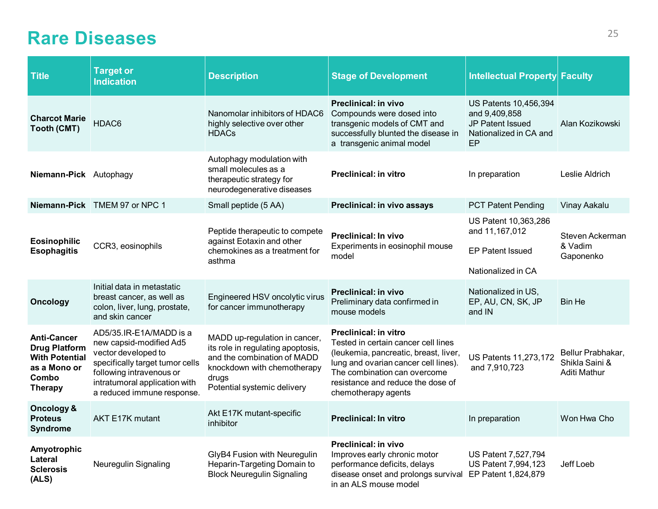#### <span id="page-25-0"></span>**Rare Diseases** 25

| <b>Title</b>                                                                                                   | <b>Target or</b><br><b>Indication</b>                                                                                                                                                                   | <b>Description</b>                                                                                                                                                       | <b>Stage of Development</b>                                                                                                                                                                                                                      | Intellectual Property Faculty                                                              |                                                     |
|----------------------------------------------------------------------------------------------------------------|---------------------------------------------------------------------------------------------------------------------------------------------------------------------------------------------------------|--------------------------------------------------------------------------------------------------------------------------------------------------------------------------|--------------------------------------------------------------------------------------------------------------------------------------------------------------------------------------------------------------------------------------------------|--------------------------------------------------------------------------------------------|-----------------------------------------------------|
| <b>Charcot Marie</b><br><b>Tooth (CMT)</b>                                                                     | HDAC6                                                                                                                                                                                                   | Nanomolar inhibitors of HDAC6<br>highly selective over other<br><b>HDACs</b>                                                                                             | Preclinical: in vivo<br>Compounds were dosed into<br>transgenic models of CMT and<br>successfully blunted the disease in<br>a transgenic animal model                                                                                            | US Patents 10,456,394<br>and 9,409,858<br>JP Patent Issued<br>Nationalized in CA and<br>EP | Alan Kozikowski                                     |
| Niemann-Pick Autophagy                                                                                         |                                                                                                                                                                                                         | Autophagy modulation with<br>small molecules as a<br>therapeutic strategy for<br>neurodegenerative diseases                                                              | <b>Preclinical: in vitro</b>                                                                                                                                                                                                                     | In preparation                                                                             | Leslie Aldrich                                      |
|                                                                                                                | Niemann-Pick TMEM 97 or NPC 1                                                                                                                                                                           | Small peptide (5 AA)                                                                                                                                                     | Preclinical: in vivo assays                                                                                                                                                                                                                      | <b>PCT Patent Pending</b>                                                                  | Vinay Aakalu                                        |
| <b>Eosinophilic</b><br><b>Esophagitis</b>                                                                      | CCR3, eosinophils                                                                                                                                                                                       | Peptide therapeutic to compete<br>against Eotaxin and other<br>chemokines as a treatment for<br>asthma                                                                   | <b>Preclinical: In vivo</b><br>Experiments in eosinophil mouse<br>model                                                                                                                                                                          | US Patent 10,363,286<br>and 11,167,012<br><b>EP Patent Issued</b><br>Nationalized in CA    | Steven Ackerman<br>& Vadim<br>Gaponenko             |
| <b>Oncology</b>                                                                                                | Initial data in metastatic<br>breast cancer, as well as<br>colon, liver, lung, prostate,<br>and skin cancer                                                                                             | Engineered HSV oncolytic virus<br>for cancer immunotherapy                                                                                                               | <b>Preclinical: in vivo</b><br>Preliminary data confirmed in<br>mouse models                                                                                                                                                                     | Nationalized in US,<br>EP, AU, CN, SK, JP<br>and IN                                        | <b>Bin He</b>                                       |
| <b>Anti-Cancer</b><br><b>Drug Platform</b><br><b>With Potential</b><br>as a Mono or<br>Combo<br><b>Therapy</b> | AD5/35.IR-E1A/MADD is a<br>new capsid-modified Ad5<br>vector developed to<br>specifically target tumor cells<br>following intravenous or<br>intratumoral application with<br>a reduced immune response. | MADD up-regulation in cancer,<br>its role in regulating apoptosis,<br>and the combination of MADD<br>knockdown with chemotherapy<br>drugs<br>Potential systemic delivery | <b>Preclinical: in vitro</b><br>Tested in certain cancer cell lines<br>(leukemia, pancreatic, breast, liver,<br>lung and ovarian cancer cell lines).<br>The combination can overcome<br>resistance and reduce the dose of<br>chemotherapy agents | US Patents 11,273,172<br>and 7,910,723                                                     | Bellur Prabhakar,<br>Shikla Saini &<br>Aditi Mathur |
| Oncology &<br><b>Proteus</b><br><b>Syndrome</b>                                                                | <b>AKT E17K mutant</b>                                                                                                                                                                                  | Akt E17K mutant-specific<br>inhibitor                                                                                                                                    | <b>Preclinical: In vitro</b>                                                                                                                                                                                                                     | In preparation                                                                             | Won Hwa Cho                                         |
| Amyotrophic<br>Lateral<br><b>Sclerosis</b><br>(ALS)                                                            | Neuregulin Signaling                                                                                                                                                                                    | GlyB4 Fusion with Neuregulin<br>Heparin-Targeting Domain to<br><b>Block Neuregulin Signaling</b>                                                                         | <b>Preclinical: in vivo</b><br>Improves early chronic motor<br>performance deficits, delays<br>disease onset and prolongs survival<br>in an ALS mouse model                                                                                      | <b>US Patent 7,527,794</b><br>US Patent 7,994,123<br>EP Patent 1,824,879                   | Jeff Loeb                                           |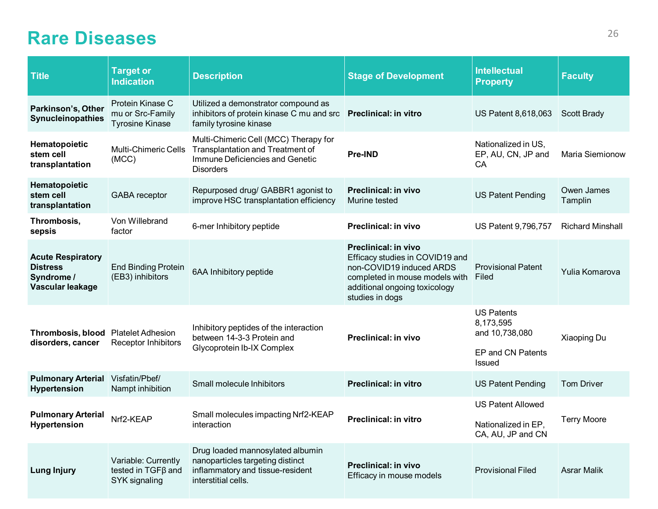#### **Rare Diseases** 26

| <b>Title</b>                                                                  | <b>Target or</b><br><b>Indication</b>                                  | <b>Description</b>                                                                                                                      | <b>Stage of Development</b>                                                                                                                                                      | <b>Intellectual</b><br><b>Property</b>                                          | <b>Faculty</b>          |
|-------------------------------------------------------------------------------|------------------------------------------------------------------------|-----------------------------------------------------------------------------------------------------------------------------------------|----------------------------------------------------------------------------------------------------------------------------------------------------------------------------------|---------------------------------------------------------------------------------|-------------------------|
| Parkinson's, Other<br>Synucleinopathies                                       | Protein Kinase C<br>mu or Src-Family<br><b>Tyrosine Kinase</b>         | Utilized a demonstrator compound as<br>inhibitors of protein kinase C mu and src <b>Preclinical: in vitro</b><br>family tyrosine kinase |                                                                                                                                                                                  | US Patent 8,618,063                                                             | <b>Scott Brady</b>      |
| Hematopoietic<br>stem cell<br>transplantation                                 | <b>Multi-Chimeric Cells</b><br>(MCC)                                   | Multi-Chimeric Cell (MCC) Therapy for<br><b>Transplantation and Treatment of</b><br>Immune Deficiencies and Genetic<br><b>Disorders</b> | <b>Pre-IND</b>                                                                                                                                                                   | Nationalized in US,<br>EP, AU, CN, JP and<br>CA                                 | Maria Siemionow         |
| Hematopoietic<br>stem cell<br>transplantation                                 | <b>GABA</b> receptor                                                   | Repurposed drug/ GABBR1 agonist to<br>improve HSC transplantation efficiency                                                            | Preclinical: in vivo<br>Murine tested                                                                                                                                            | <b>US Patent Pending</b>                                                        | Owen James<br>Tamplin   |
| Thrombosis,<br>sepsis                                                         | Von Willebrand<br>factor                                               | 6-mer Inhibitory peptide                                                                                                                | Preclinical: in vivo                                                                                                                                                             | US Patent 9,796,757                                                             | <b>Richard Minshall</b> |
| <b>Acute Respiratory</b><br><b>Distress</b><br>Syndrome /<br>Vascular leakage | <b>End Binding Protein</b><br>(EB3) inhibitors                         | 6AA Inhibitory peptide                                                                                                                  | <b>Preclinical: in vivo</b><br>Efficacy studies in COVID19 and<br>non-COVID19 induced ARDS<br>completed in mouse models with<br>additional ongoing toxicology<br>studies in dogs | <b>Provisional Patent</b><br>Filed                                              | Yulia Komarova          |
| Thrombosis, blood Platelet Adhesion<br>disorders, cancer                      | <b>Receptor Inhibitors</b>                                             | Inhibitory peptides of the interaction<br>between 14-3-3 Protein and<br>Glycoprotein Ib-IX Complex                                      | <b>Preclinical: in vivo</b>                                                                                                                                                      | <b>US Patents</b><br>8,173,595<br>and 10,738,080<br>EP and CN Patents<br>Issued | Xiaoping Du             |
| <b>Pulmonary Arterial</b><br><b>Hypertension</b>                              | Visfatin/Pbef/<br>Nampt inhibition                                     | Small molecule Inhibitors                                                                                                               | <b>Preclinical: in vitro</b>                                                                                                                                                     | <b>US Patent Pending</b>                                                        | <b>Tom Driver</b>       |
| <b>Pulmonary Arterial</b><br><b>Hypertension</b>                              | Nrf2-KEAP                                                              | Small molecules impacting Nrf2-KEAP<br>interaction                                                                                      | <b>Preclinical: in vitro</b>                                                                                                                                                     | <b>US Patent Allowed</b><br>Nationalized in EP,<br>CA, AU, JP and CN            | <b>Terry Moore</b>      |
| <b>Lung Injury</b>                                                            | Variable: Currently<br>tested in TGF <sub>B</sub> and<br>SYK signaling | Drug loaded mannosylated albumin<br>nanoparticles targeting distinct<br>inflammatory and tissue-resident<br>interstitial cells.         | <b>Preclinical: in vivo</b><br>Efficacy in mouse models                                                                                                                          | <b>Provisional Filed</b>                                                        | <b>Asrar Malik</b>      |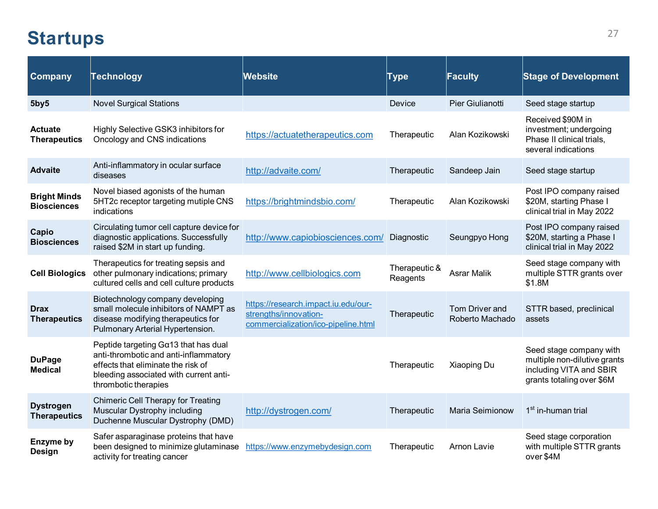#### <span id="page-27-0"></span>Startups<sup>27</sup>

| <b>Company</b>                            | <b>Technology</b>                                                                                                                                                                       | Website                                                                                             | Type                      | Faculty                           | <b>Stage of Development</b>                                                                                     |
|-------------------------------------------|-----------------------------------------------------------------------------------------------------------------------------------------------------------------------------------------|-----------------------------------------------------------------------------------------------------|---------------------------|-----------------------------------|-----------------------------------------------------------------------------------------------------------------|
| 5by5                                      | <b>Novel Surgical Stations</b>                                                                                                                                                          |                                                                                                     | Device                    | Pier Giulianotti                  | Seed stage startup                                                                                              |
| <b>Actuate</b><br><b>Therapeutics</b>     | Highly Selective GSK3 inhibitors for<br>Oncology and CNS indications                                                                                                                    | https://actuatetherapeutics.com                                                                     | Therapeutic               | Alan Kozikowski                   | Received \$90M in<br>investment; undergoing<br>Phase II clinical trials,<br>several indications                 |
| <b>Advaite</b>                            | Anti-inflammatory in ocular surface<br>diseases                                                                                                                                         | http://advaite.com/                                                                                 | Therapeutic               | Sandeep Jain                      | Seed stage startup                                                                                              |
| <b>Bright Minds</b><br><b>Biosciences</b> | Novel biased agonists of the human<br>5HT2c receptor targeting mutiple CNS<br>indications                                                                                               | https://brightmindsbio.com/                                                                         | Therapeutic               | Alan Kozikowski                   | Post IPO company raised<br>\$20M, starting Phase I<br>clinical trial in May 2022                                |
| Capio<br><b>Biosciences</b>               | Circulating tumor cell capture device for<br>diagnostic applications. Successfully<br>raised \$2M in start up funding.                                                                  | http://www.capiobiosciences.com/                                                                    | Diagnostic                | Seungpyo Hong                     | Post IPO company raised<br>\$20M, starting a Phase I<br>clinical trial in May 2022                              |
| <b>Cell Biologics</b>                     | Therapeutics for treating sepsis and<br>other pulmonary indications; primary<br>cultured cells and cell culture products                                                                | http://www.cellbiologics.com                                                                        | Therapeutic &<br>Reagents | <b>Asrar Malik</b>                | Seed stage company with<br>multiple STTR grants over<br>\$1.8M                                                  |
| <b>Drax</b><br><b>Therapeutics</b>        | Biotechnology company developing<br>small molecule inhibitors of NAMPT as<br>disease modifying therapeutics for<br>Pulmonary Arterial Hypertension.                                     | https://research.impact.iu.edu/our-<br>strengths/innovation-<br>commercialization/ico-pipeline.html | Therapeutic               | Tom Driver and<br>Roberto Machado | STTR based, preclinical<br>assets                                                                               |
| <b>DuPage</b><br><b>Medical</b>           | Peptide targeting $Ga13$ that has dual<br>anti-thrombotic and anti-inflammatory<br>effects that eliminate the risk of<br>bleeding associated with current anti-<br>thrombotic therapies |                                                                                                     | Therapeutic               | Xiaoping Du                       | Seed stage company with<br>multiple non-dilutive grants<br>including VITA and SBIR<br>grants totaling over \$6M |
| <b>Dystrogen</b><br><b>Therapeutics</b>   | <b>Chimeric Cell Therapy for Treating</b><br>Muscular Dystrophy including<br>Duchenne Muscular Dystrophy (DMD)                                                                          | http://dystrogen.com/                                                                               | Therapeutic               | Maria Seimionow                   | 1 <sup>st</sup> in-human trial                                                                                  |
| Enzyme by<br>Design                       | Safer asparaginase proteins that have<br>been designed to minimize glutaminase<br>activity for treating cancer                                                                          | https://www.enzymebydesign.com                                                                      | Therapeutic               | Arnon Lavie                       | Seed stage corporation<br>with multiple STTR grants<br>over \$4M                                                |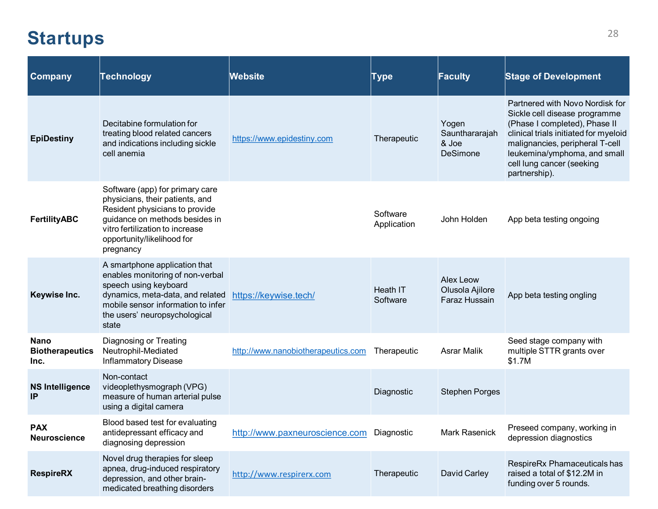#### Startups<sup>28</sup>

| <b>Company</b>                                | <b>Technology</b>                                                                                                                                                                                                    | <b>Website</b>                            | Type                    | <b>Faculty</b>                                | <b>Stage of Development</b>                                                                                                                                                                                                                                 |
|-----------------------------------------------|----------------------------------------------------------------------------------------------------------------------------------------------------------------------------------------------------------------------|-------------------------------------------|-------------------------|-----------------------------------------------|-------------------------------------------------------------------------------------------------------------------------------------------------------------------------------------------------------------------------------------------------------------|
| <b>EpiDestiny</b>                             | Decitabine formulation for<br>treating blood related cancers<br>and indications including sickle<br>cell anemia                                                                                                      | https://www.epidestiny.com                | Therapeutic             | Yogen<br>Saunthararajah<br>& Joe<br>DeSimone  | Partnered with Novo Nordisk for<br>Sickle cell disease programme<br>(Phase I completed), Phase II<br>clinical trials initiated for myeloid<br>malignancies, peripheral T-cell<br>leukemina/ymphoma, and small<br>cell lung cancer (seeking<br>partnership). |
| <b>FertilityABC</b>                           | Software (app) for primary care<br>physicians, their patients, and<br>Resident physicians to provide<br>guidance on methods besides in<br>vitro fertilization to increase<br>opportunity/likelihood for<br>pregnancy |                                           | Software<br>Application | John Holden                                   | App beta testing ongoing                                                                                                                                                                                                                                    |
| Keywise Inc.                                  | A smartphone application that<br>enables monitoring of non-verbal<br>speech using keyboard<br>dynamics, meta-data, and related<br>mobile sensor information to infer<br>the users' neuropsychological<br>state       | https://keywise.tech/                     | Heath IT<br>Software    | Alex Leow<br>Olusola Ajilore<br>Faraz Hussain | App beta testing ongling                                                                                                                                                                                                                                    |
| <b>Nano</b><br><b>Biotherapeutics</b><br>Inc. | Diagnosing or Treating<br>Neutrophil-Mediated<br><b>Inflammatory Disease</b>                                                                                                                                         | http://www.nanobiotherapeutics.com        | Therapeutic             | <b>Asrar Malik</b>                            | Seed stage company with<br>multiple STTR grants over<br>\$1.7M                                                                                                                                                                                              |
| <b>NS Intelligence</b><br>IP                  | Non-contact<br>videoplethysmograph (VPG)<br>measure of human arterial pulse<br>using a digital camera                                                                                                                |                                           | Diagnostic              | <b>Stephen Porges</b>                         |                                                                                                                                                                                                                                                             |
| <b>PAX</b><br><b>Neuroscience</b>             | Blood based test for evaluating<br>antidepressant efficacy and<br>diagnosing depression                                                                                                                              | http://www.paxneuroscience.com Diagnostic |                         | Mark Rasenick                                 | Preseed company, working in<br>depression diagnostics                                                                                                                                                                                                       |
| <b>RespireRX</b>                              | Novel drug therapies for sleep<br>apnea, drug-induced respiratory<br>depression, and other brain-<br>medicated breathing disorders                                                                                   | http://www.respirerx.com                  | Therapeutic             | David Carley                                  | RespireRx Phamaceuticals has<br>raised a total of \$12.2M in<br>funding over 5 rounds.                                                                                                                                                                      |